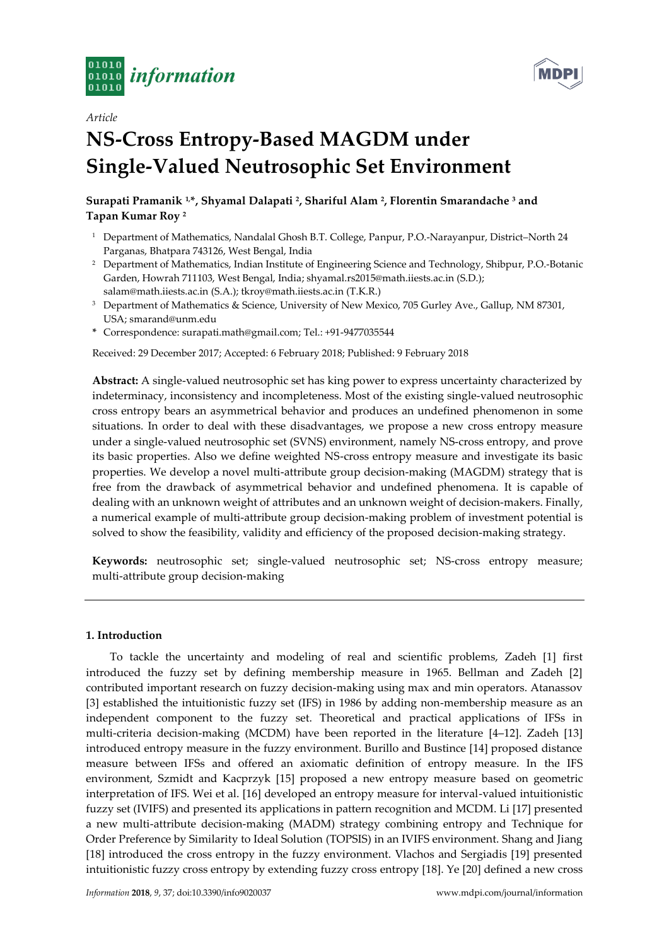



# *Article* **NS-Cross Entropy-Based MAGDM under Single-Valued Neutrosophic Set Environment**

# **Surapati Pramanik 1,\*, Shyamal Dalapati <sup>2</sup> , Shariful Alam <sup>2</sup> , Florentin Smarandache <sup>3</sup> and Tapan Kumar Roy <sup>2</sup>**

- <sup>1</sup> Department of Mathematics, Nandalal Ghosh B.T. College, Panpur, P.O.-Narayanpur, District-North 24 Parganas, Bhatpara 743126, West Bengal, India
- <sup>2</sup> Department of Mathematics, Indian Institute of Engineering Science and Technology, Shibpur, P.O.-Botanic Garden, Howrah 711103, West Bengal, India; shyamal.rs2015@math.iiests.ac.in (S.D.); salam@math.iiests.ac.in (S.A.); tkroy@math.iiests.ac.in (T.K.R.)
- <sup>3</sup> Department of Mathematics & Science, University of New Mexico, 705 Gurley Ave., Gallup, NM 87301, USA; smarand@unm.edu
- **\*** Correspondence: surapati.math@gmail.com; Tel.: +91-9477035544

Received: 29 December 2017; Accepted: 6 February 2018; Published: 9 February 2018

**Abstract:** A single-valued neutrosophic set has king power to express uncertainty characterized by indeterminacy, inconsistency and incompleteness. Most of the existing single-valued neutrosophic cross entropy bears an asymmetrical behavior and produces an undefined phenomenon in some situations. In order to deal with these disadvantages, we propose a new cross entropy measure under a single-valued neutrosophic set (SVNS) environment, namely NS-cross entropy, and prove its basic properties. Also we define weighted NS-cross entropy measure and investigate its basic properties. We develop a novel multi-attribute group decision-making (MAGDM) strategy that is free from the drawback of asymmetrical behavior and undefined phenomena. It is capable of dealing with an unknown weight of attributes and an unknown weight of decision-makers. Finally, a numerical example of multi-attribute group decision-making problem of investment potential is solved to show the feasibility, validity and efficiency of the proposed decision-making strategy.

**Keywords:** neutrosophic set; single-valued neutrosophic set; NS-cross entropy measure; multi-attribute group decision-making

## **1. Introduction**

To tackle the uncertainty and modeling of real and scientific problems, Zadeh [1] first introduced the fuzzy set by defining membership measure in 1965. Bellman and Zadeh [2] contributed important research on fuzzy decision-making using max and min operators. Atanassov [3] established the intuitionistic fuzzy set (IFS) in 1986 by adding non-membership measure as an independent component to the fuzzy set. Theoretical and practical applications of IFSs in multi-criteria decision-making (MCDM) have been reported in the literature [4–12]. Zadeh [13] introduced entropy measure in the fuzzy environment. Burillo and Bustince [14] proposed distance measure between IFSs and offered an axiomatic definition of entropy measure. In the IFS environment, Szmidt and Kacprzyk [15] proposed a new entropy measure based on geometric interpretation of IFS. Wei et al. [16] developed an entropy measure for interval-valued intuitionistic fuzzy set (IVIFS) and presented its applications in pattern recognition and MCDM. Li [17] presented a new multi-attribute decision-making (MADM) strategy combining entropy and Technique for Order Preference by Similarity to Ideal Solution (TOPSIS) in an IVIFS environment. Shang and Jiang [18] introduced the cross entropy in the fuzzy environment. Vlachos and Sergiadis [19] presented intuitionistic fuzzy cross entropy by extending fuzzy cross entropy [18]. Ye [20] defined a new cross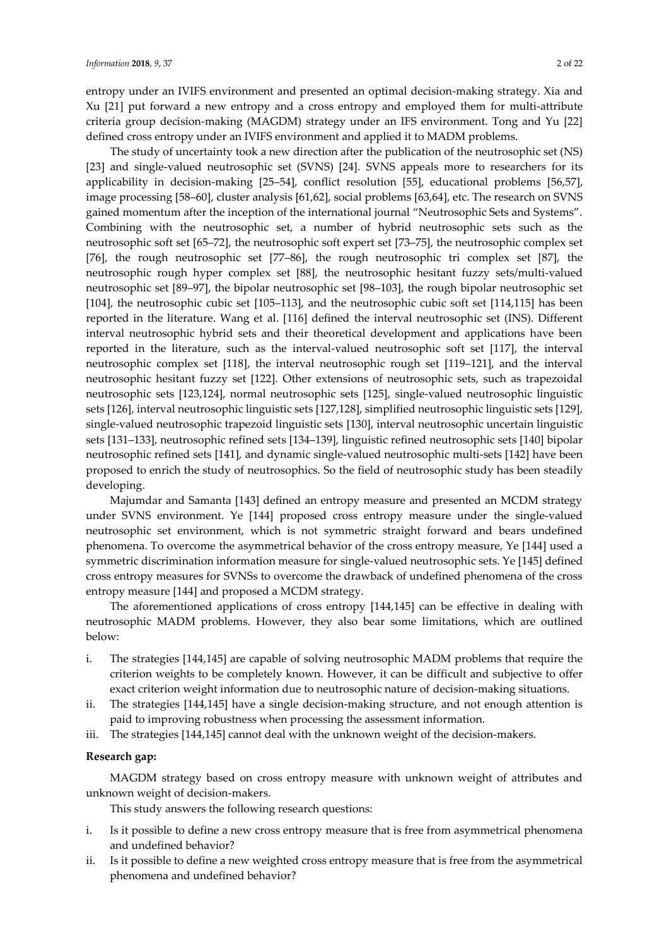entropy under an IVIFS environment and presented an optimal decision-making strategy. Xia and Xu [21] put forward a new entropy and a cross entropy and employed them for multi-attribute criteria group decision-making (MAGDM) strategy under an IFS environment. Tong and Yu [22] defined cross entropy under an IVIFS environment and applied it to MADM problems.

The study of uncertainty took a new direction after the publication of the neutrosophic set (NS) [23] and single-valued neutrosophic set (SVNS) [24]. SVNS appeals more to researchers for its applicability in decision-making [25–54], conflict resolution [55], educational problems [56,57], image processing [58–60], cluster analysis [61,62], social problems [63,64], etc. The research on SVNS gained momentum after the inception of the international journal "Neutrosophic Sets and Systems". Combining with the neutrosophic set, a number of hybrid neutrosophic sets such as the neutrosophic soft set [65–72], the neutrosophic soft expert set [73–75], the neutrosophic complex set [76], the rough neutrosophic set [77–86], the rough neutrosophic tri complex set [87], the neutrosophic rough hyper complex set [88], the neutrosophic hesitant fuzzy sets/multi-valued neutrosophic set [89–97], the bipolar neutrosophic set [98–103], the rough bipolar neutrosophic set [104], the neutrosophic cubic set [105–113], and the neutrosophic cubic soft set [114,115] has been reported in the literature. Wang et al. [116] defined the interval neutrosophic set (INS). Different interval neutrosophic hybrid sets and their theoretical development and applications have been reported in the literature, such as the interval-valued neutrosophic soft set [117], the interval neutrosophic complex set [118], the interval neutrosophic rough set [119–121], and the interval neutrosophic hesitant fuzzy set [122]. Other extensions of neutrosophic sets, such as trapezoidal neutrosophic sets [123,124], normal neutrosophic sets [125], single-valued neutrosophic linguistic sets [126], interval neutrosophic linguistic sets [127,128], simplified neutrosophic linguistic sets [129], single-valued neutrosophic trapezoid linguistic sets [130], interval neutrosophic uncertain linguistic sets [131–133], neutrosophic refined sets [134–139], linguistic refined neutrosophic sets [140] bipolar neutrosophic refined sets [141], and dynamic single-valued neutrosophic multi-sets [142] have been proposed to enrich the study of neutrosophics. So the field of neutrosophic study has been steadily developing.

Majumdar and Samanta [143] defined an entropy measure and presented an MCDM strategy under SVNS environment. Ye [144] proposed cross entropy measure under the single-valued neutrosophic set environment, which is not symmetric straight forward and bears undefined phenomena. To overcome the asymmetrical behavior of the cross entropy measure, Ye [144] used a symmetric discrimination information measure for single-valued neutrosophic sets. Ye [145] defined cross entropy measures for SVNSs to overcome the drawback of undefined phenomena of the cross entropy measure [144] and proposed a MCDM strategy.

The aforementioned applications of cross entropy [144,145] can be effective in dealing with neutrosophic MADM problems. However, they also bear some limitations, which are outlined below:

- i. The strategies [144,145] are capable of solving neutrosophic MADM problems that require the criterion weights to be completely known. However, it can be difficult and subjective to offer exact criterion weight information due to neutrosophic nature of decision-making situations.
- ii. The strategies [144,145] have a single decision-making structure, and not enough attention is paid to improving robustness when processing the assessment information.
- iii. The strategies [144,145] cannot deal with the unknown weight of the decision-makers.

## **Research gap:**

MAGDM strategy based on cross entropy measure with unknown weight of attributes and unknown weight of decision-makers.

This study answers the following research questions:

- i. Is it possible to define a new cross entropy measure that is free from asymmetrical phenomena and undefined behavior?
- ii. Is it possible to define a new weighted cross entropy measure that is free from the asymmetrical phenomena and undefined behavior?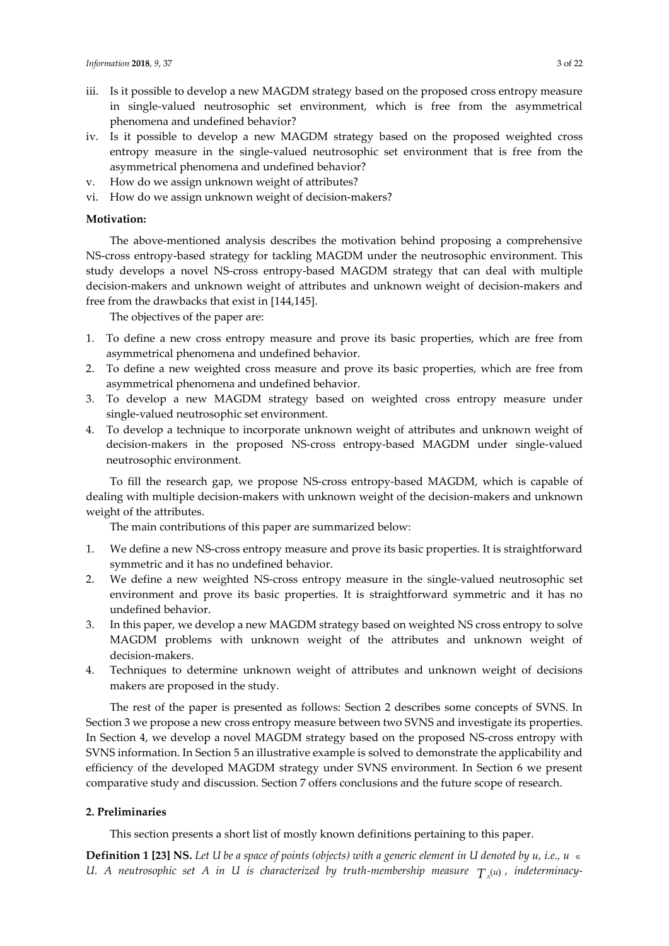- iii. Is it possible to develop a new MAGDM strategy based on the proposed cross entropy measure in single-valued neutrosophic set environment, which is free from the asymmetrical phenomena and undefined behavior?
- iv. Is it possible to develop a new MAGDM strategy based on the proposed weighted cross entropy measure in the single-valued neutrosophic set environment that is free from the asymmetrical phenomena and undefined behavior?
- v. How do we assign unknown weight of attributes?
- vi. How do we assign unknown weight of decision-makers?

## **Motivation:**

The above-mentioned analysis describes the motivation behind proposing a comprehensive NS-cross entropy-based strategy for tackling MAGDM under the neutrosophic environment. This study develops a novel NS-cross entropy-based MAGDM strategy that can deal with multiple decision-makers and unknown weight of attributes and unknown weight of decision-makers and free from the drawbacks that exist in [144,145].

The objectives of the paper are:

- 1. To define a new cross entropy measure and prove its basic properties, which are free from asymmetrical phenomena and undefined behavior.
- 2. To define a new weighted cross measure and prove its basic properties, which are free from asymmetrical phenomena and undefined behavior.
- 3. To develop a new MAGDM strategy based on weighted cross entropy measure under single-valued neutrosophic set environment.
- 4. To develop a technique to incorporate unknown weight of attributes and unknown weight of decision-makers in the proposed NS-cross entropy-based MAGDM under single-valued neutrosophic environment.

To fill the research gap, we propose NS-cross entropy-based MAGDM, which is capable of dealing with multiple decision-makers with unknown weight of the decision-makers and unknown weight of the attributes.

The main contributions of this paper are summarized below:

- 1. We define a new NS-cross entropy measure and prove its basic properties. It is straightforward symmetric and it has no undefined behavior.
- 2. We define a new weighted NS-cross entropy measure in the single-valued neutrosophic set environment and prove its basic properties. It is straightforward symmetric and it has no undefined behavior.
- 3. In this paper, we develop a new MAGDM strategy based on weighted NS cross entropy to solve MAGDM problems with unknown weight of the attributes and unknown weight of decision-makers.
- 4. Techniques to determine unknown weight of attributes and unknown weight of decisions makers are proposed in the study.

The rest of the paper is presented as follows: Section 2 describes some concepts of SVNS. In Section 3 we propose a new cross entropy measure between two SVNS and investigate its properties. In Section 4, we develop a novel MAGDM strategy based on the proposed NS-cross entropy with SVNS information. In Section 5 an illustrative example is solved to demonstrate the applicability and efficiency of the developed MAGDM strategy under SVNS environment. In Section 6 we present comparative study and discussion. Section 7 offers conclusions and the future scope of research.

#### **2. Preliminaries**

This section presents a short list of mostly known definitions pertaining to this paper.

**Definition 1 [23] NS.** *Let U be a space of points (objects) with a generic element in U denoted by u, i.e., u* U. A neutrosophic set A in U is characterized by truth-membership measure  $T_{\scriptscriptstyle A}$ (u), indeterminacy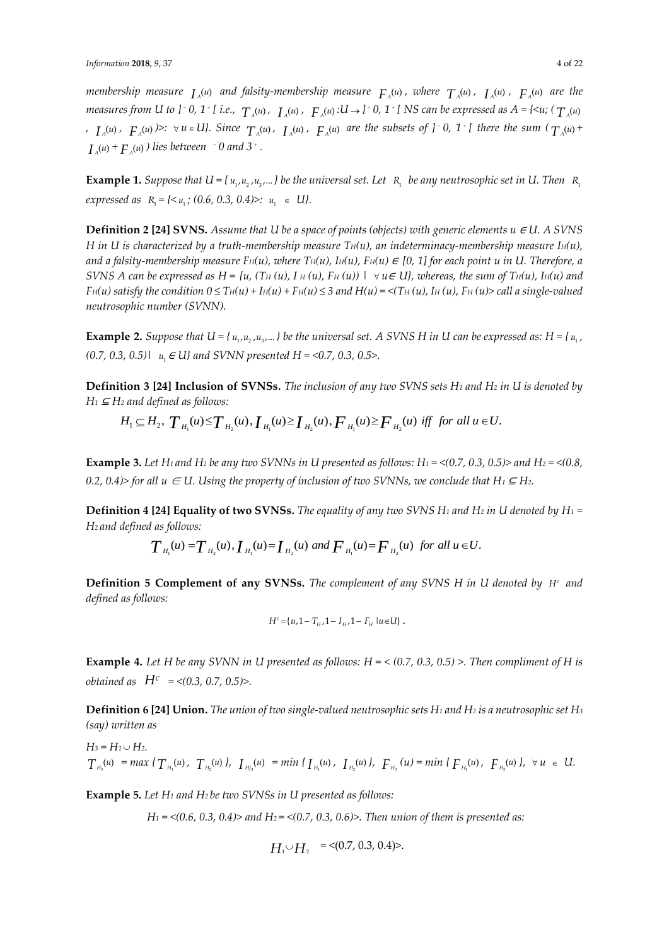membership measure  $I_A^{(u)}$  and falsity-membership measure  $F_A^{(u)}$ , where  $T_A^{(u)}$ ,  $I_A^{(u)}$ ,  $F_A^{(u)}$  are the measures from U to ]  $\bar{ }$  0, 1  $\bar{ }$  [ i.e.,  $\ T_{_A}\!\! (\mathfrak{u})$  ,  $\ T_{_A}\!\! (\mathfrak{u})$  ,  $\ F_{_A}\!\! (\mathfrak{u})$  : U  $\!\! \rightarrow$  ]  $\bar{ }$  0, 1  $\bar{ }$  [ NS can be expressed as A = {< $\mathfrak{u}$ ; (  $\ T_{_A}\!\! (\mathfrak{u})$  $I_A(u)$ ,  $F_A(u)$   $\geq$   $\forall u \in U$ . Since  $T_A(u)$ ,  $I_A(u)$ ,  $F_A(u)$  are the subsets of  $J$   $\supset$  0,  $1$   $\uparrow$  there the sum  $(T_A(u) + T_A(u))$  $I_A(u) + F_A(u)$  ) lies between  $\int$  0 and 3 $\int$ .

 $\bf{Example~1.}$  Suppose that  $U$  = {  $u_{_1},u_{_2}$  , $u_{_3}$ ... } be the universal set. Let  $\,$  R<sub>1</sub>  $\,$  be any neutrosophic set in U. Then  $\,$  R<sub>1</sub>  $\textit{expressed as} \ \ R_1 = \{ \textless u_1 \, ; \, (0.6, \, 0.3, \, 0.4) \textgt: : \ u_1 \ \in \ \textit{U} \}.$ 

**Definition 2 [24] SVNS.** Assume that U be a space of points (objects) with generic elements  $u \in U$ . A SVNS *H* in U is characterized by a truth-membership measure  $T<sub>H</sub>(u)$ , an indeterminacy-membership measure  $I<sub>H</sub>(u)$ , *and a falsity-membership measure*  $F_H(u)$ , where  $T_H(u)$ ,  $H_H(u)$ ,  $F_H(u) \in [0, 1]$  for each point u in U. Therefore, a *SVNS A can be expressed as H = {u, (T<sub>H</sub> (u), I<sub>H</sub> (u), F<sub>H</sub> (u)) |*  $\forall$  *u* $\in$  *U}, whereas, the sum of T<sub>H</sub>(u), I<sub>H</sub>(u) and*  $F_H(u)$  satisfy the condition  $0 \le T_H(u) + I_H(u) + F_H(u) \le 3$  and  $H(u) = \langle T_H(u), H_H(u), F_H(u) \rangle$  call a single-valued *neutrosophic number (SVNN).*

**Example 2.** Suppose that  $U = \{u_1, u_2, u_3, \ldots\}$  be the universal set. A SVNS H in U can be expressed as:  $H = \{u_1, u_2, u_3, \ldots\}$  be the universal set. A SVNS H in U can be expressed as:  $H = \{u_1, u_2, u_3, \ldots\}$ *(0.7, 0.3, 0.5)|* 1 *u* <sup>∈</sup> *U} and SVNN presented H = <0.7, 0.3, 0.5>.*

**Definition 3 [24] Inclusion of SVNSs.** *The inclusion of any two SVNS sets H<sup>1</sup> and H<sup>2</sup> in U is denoted by H<sup>1</sup>* <sup>⊆</sup> *H<sup>2</sup> and defined as follows:*

$$
H_1 \subseteq H_2, T_{H_1}(u) \leq T_{H_2}(u), I_{H_1}(u) \geq I_{H_2}(u), F_{H_1}(u) \geq F_{H_2}(u) \text{ iff for all } u \in U.
$$

**Example 3.** Let H<sub>1</sub> and H<sub>2</sub> be any two SVNNs in U presented as follows: H<sub>1</sub> = <(0.7, 0.3, 0.5)> and H<sub>2</sub> = <(0.8, *0.2, 0.4)> for all*  $u \in U$ *. Using the property of inclusion of two SVNNs, we conclude that*  $H_1 \subseteq H_2$ *.* 

**Definition 4 [24] Equality of two SVNSs.** *The equality of any two SVNS H<sup>1</sup> and H<sup>2</sup> in U denoted by H<sup>1</sup> = H2 and defined as follows:*

$$
T_{H_1}(u) = T_{H_2}(u),
$$
  $I_{H_1}(u) = I_{H_2}(u)$  and  $F_{H_1}(u) = F_{H_2}(u)$  for all  $u \in U$ .

**Definition 5 Complement of any SVNSs.** The complement of any SVNS H in U denoted by H<sup>c</sup> and *defined as follows:*

$$
H^c = \{u, 1 - T_{H}, 1 - I_{H}, 1 - F_{H} | u \in U\}.
$$

**Example 4.** *Let H be any SVNN in U presented as follows: H = < (0.7, 0.3, 0.5) >. Then compliment of H is obtained as H<sup>c</sup> = <(0.3, 0.7, 0.5)>.*

**Definition 6 [24] Union.** *The union of two single-valued neutrosophic sets H<sup>1</sup> and H<sup>2</sup> is a neutrosophic set H<sup>3</sup> (say) written as*

 $H_3 = H_1 \cup H_2$ .  $T_{H_3}(u) = max \{ T_{H_1}(u), T_{H_2}(u) \}$ ,  $T_{H_3}(u) = min \{ T_{H_1}(u), T_{H_2}(u) \}$ ,  $F_{H_3}(u) = min \{ F_{H_1}(u), F_{H_2}(u) \}$ ,  $\forall u \in U$ .

**Example 5.** *Let H<sup>1</sup> and H2 be two SVNSs in U presented as follows:*

*H<sup>1</sup> = <(0.6, 0.3, 0.4)> and H2 = <(0.7, 0.3, 0.6)>. Then union of them is presented as:*

$$
H_1 \cup H_2 = \langle 0.7, 0.3, 0.4 \rangle.
$$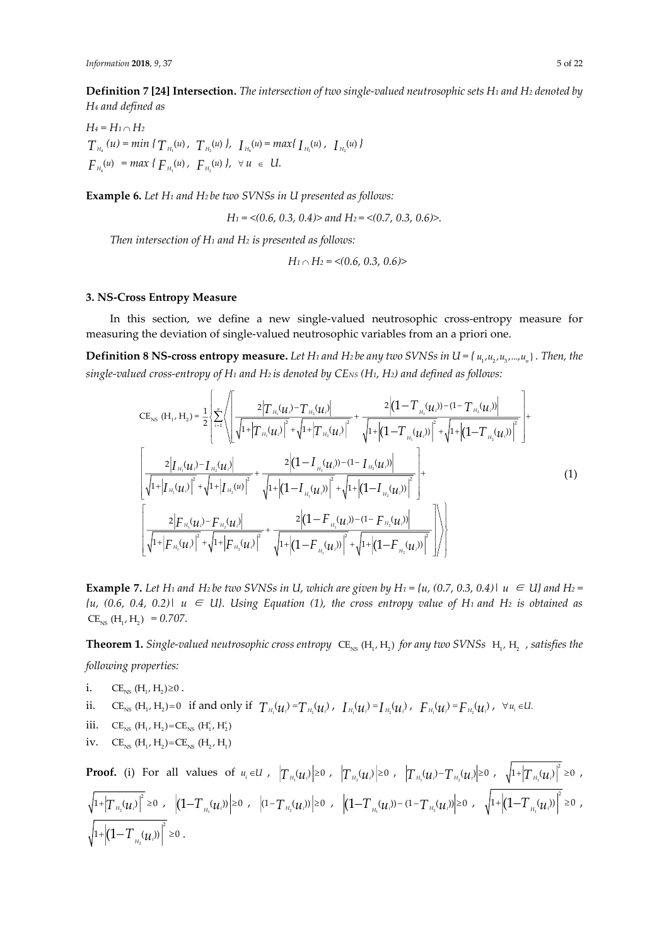**Definition 7 [24] Intersection.** *The intersection of two single-valued neutrosophic sets H<sup>1</sup> and H<sup>2</sup> denoted by H<sup>4</sup> and defined as*

*H<sup>4</sup> = H<sup>1</sup> H<sup>2</sup>*  $T_{H_4}(u) = min \{ T_{H_1}(u), T_{H_2}(u) \}, T_{H_4}(u) = max \{ T_{H_1}(u), T_{H_2}(u) \}$  $F_{H_4}(u) = max \{ F_{H_1}(u), F_{H_2}(u) \}, \forall u \in U.$ 

**Example 6.** *Let H<sup>1</sup> and H2 be two SVNSs in U presented as follows:*

*H<sup>1</sup> = <(0.6, 0.3, 0.4)> and H2 = <(0.7, 0.3, 0.6)>.*

*Then intersection of H<sup>1</sup> and H<sup>2</sup> is presented as follows:*

$$
H_1 \cap H_2 = \langle (0.6, 0.3, 0.6) \rangle
$$

#### **3. NS-Cross Entropy Measure**

In this section, we define a new single-valued neutrosophic cross-entropy measure for measuring the deviation of single-valued neutrosophic variables from an a priori one.

**Definition 8 NS-cross entropy measure.** Let H1 and H2 be any two SVNSs in U = {  $u_1, u_2, u_3, ..., u_n$  } . Then, the *single-valued cross-entropy of H<sup>1</sup> and H2 is denoted by CENS (H1, H2) and defined as follows:*

$$
CE_{NS} (H_{1}, H_{2}) = \frac{1}{2} \left\{ \sum_{i=1}^{n} \left\{ \frac{2 \left| T_{H_{1}}(u_{i}) - T_{H_{2}}(u_{i}) \right|}{\sqrt{1 + \left| T_{H_{1}}(u_{i}) \right|^{2}} + \sqrt{1 + \left| T_{H_{2}}(u_{i}) \right|^{2}} + \frac{2 \left| (1 - T_{H_{1}}(u_{i})) - (1 - T_{H_{2}}(u_{i})) \right|}{\sqrt{1 + \left| (1 - T_{H_{1}}(u_{i})) \right|^{2}} + \sqrt{1 + \left| (1 - T_{H_{2}}(u_{i})) \right|^{2}} + \sqrt{1 + \left| (1 - T_{H_{2}}(u_{i})) \right|^{2}} \right| + \left| \frac{2 \left| T_{H_{1}}(u_{i}) - T_{H_{2}}(u_{i}) \right|}{\sqrt{1 + \left| T_{H_{1}}(u_{i}) \right|^{2}} + \sqrt{1 + \left| (1 - T_{H_{1}}(u_{i})) \right|^{2}} + \sqrt{1 + \left| (1 - T_{H_{2}}(u_{i})) \right|^{2}} \right| + \left| \frac{2 \left| F_{H_{1}}(u_{i}) - F_{H_{2}}(u_{i}) \right|}{\sqrt{1 + \left| F_{H_{1}}(u_{i}) \right|^{2}} + \sqrt{1 + \left| (1 - T_{H_{1}}(u_{i})) - (1 - F_{H_{2}}(u_{i})) \right|^{2}} \right| + \left| \frac{2 \left| T_{H_{1}}(u_{i}) - F_{H_{2}}(u_{i}) \right|}{\sqrt{1 + \left| F_{H_{1}}(u_{i}) \right|^{2}} + \sqrt{1 + \left| (1 - F_{H_{1}}(u_{i})) \right|^{2}} + \sqrt{1 + \left| (1 - F_{H_{2}}(u_{i})) \right|^{2}} \right|} \right\rangle} \right\}
$$
\n(1)

**Example 7.** Let H<sub>1</sub> and H<sub>2</sub> be two SVNSs in U, which are given by H<sub>1</sub> = {u, (0.7, 0.3, 0.4)|  $u \in U$ } and H<sub>2</sub> = *{u, (0.6, 0.4, 0.2)| u* <sup>∈</sup> *U}. Using Equation (1), the cross entropy value of H1 and H<sup>2</sup> is obtained as*  $CE_{NS}$  (H<sub>1</sub>, H<sub>2</sub>) = 0.707.

**Theorem 1.** Single-valued neutrosophic cross entropy  $\text{CE}_{\text{\tiny{NS}}}$  (H<sub>1</sub>, H<sub>2</sub>) for any two SVNSs  $\,$  H<sub>1</sub>, H<sub>2</sub>  $\,$  , satisfies the *following properties:*

- i.  $CE_{NS}$   $(H_1, H_2) \ge 0$ .
- ii.  $CE_{NS}$  (H<sub>1</sub>, H<sub>2</sub>)=0 if and only if  $T_{H_1}(u_i) = T_{H_2}(u_i)$ ,  $I_{H_1}(u_i) = I_{H_2}(u_i)$ ,  $F_{H_1}(u_i) = F_{H_2}(u_i)$ ,  $\forall u_i \in U$ .
- iii.  $CE_{NS}$   $(H_1, H_2) = CE_{NS}$   $(H_1^c, H_2^c)$
- iv.  $CE_{NS}$  (H<sub>1</sub>, H<sub>2</sub>)= $CE_{NS}$  (H<sub>2</sub>, H<sub>1</sub>)

**Proof.** (i) For all values of  $u_i\in U$  ,  $\left|T_{_{H_1}}\!\!\left(\mathcal{U}_i\right)\right|\geq0$  ,  $\left|T_{_{H_2}}\!\!\left(\mathcal{U}_i\right)\right|\geq0$  ,  $\left|T_{_{H_1}}\!\!\left(\mathcal{U}_i\right)\right|\geq0$  ,  $\left|T_{_{H_2}}\!\!\left(\mathcal{U}_i\right)\right|\geq0$  ,  $\sqrt{1+}\left|T_{_{H_1}}\right|$  $1 + \left| T_{H}(\mathcal{U}_i) \right|^2 \geq 0$ ,  $\left| (1+\left|{T}_{\scriptscriptstyle{H_2}}({\boldsymbol{\mu}}_i)\right|^2 \geq 0 \;\; , \;\; \left| (1+{T}_{\scriptscriptstyle{H_1}}({\boldsymbol{\mu}}_i)) \right| \geq 0 \;\; , \;\; \left| (1+{T}_{\scriptscriptstyle{H_2}}({\boldsymbol{\mu}}_i)) \right| \geq 0 \;\; , \;\; \left| (1+{T}_{\scriptscriptstyle{H_1}}({\boldsymbol{\mu}}_i)) - (1-{T}_{\scriptscriptstyle{H_2}}({\boldsymbol{\mu}}_i)) \right| \geq 0 \;\; , \;\; \; \sqrt{1+}\left| (1-{T}_{\scriptscriptstyle{H$  $\left| 1 + \left| \left( 1 - T_{H}(\boldsymbol{u}_i) \right) \right|^2 \geq 0$ ,  $1 + \left| \left( 1 - T_{H_n}(\mu_i) \right) \right|^2 \geq 0$ .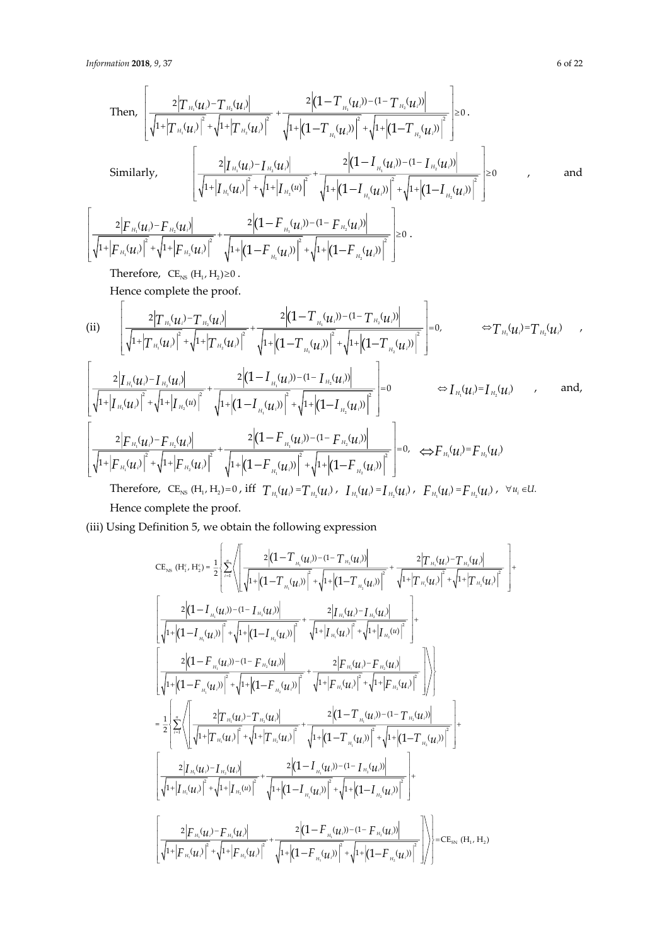Then,  
\n
$$
\left[\frac{2|T_{H_1}(u_i)-T_{H_2}(u_i)|}{\sqrt{1+|T_{H_1}(u_i)|^2}+\sqrt{1+|T_{H_2}(u_i)|^2}}+\frac{2|(1-T_{H_1}(u_i))-1-T_{H_2}(u_i)|}{\sqrt{1+|(1-T_{H_1}(u_i)|^2}+\sqrt{1+|(1-T_{H_2}(u_i)|^2})}\right] \geq 0.
$$
\nSimilarly,  
\n
$$
\left[\frac{2|T_{H_1}(u_i)-T_{H_2}(u_i)|}{\sqrt{1+|T_{H_1}(u_i)|^2}+\sqrt{1+|T_{H_2}(u_i)|^2}}+\frac{2|(1-I_{H_1}(u_i))-1-I_{H_2}(u_i)|}{\sqrt{1+|(1-I_{H_1}(u_i)|^2}+\sqrt{1+|(1-I_{H_2}(u_i)|^2})}\right] \geq 0
$$
\nand  
\n
$$
\left[\frac{2|F_{H_1}(u_i)-F_{H_2}(u_i)|}{\sqrt{1+|F_{H_1}(u_i)|^2}+\sqrt{1+|(1-F_{H_1}(u_i))-1-F_{H_2}(u_i)|}}\right] \geq 0.
$$
\nTherefore,  
\n
$$
C E_{\text{NS}}(H_1, H_2) \geq 0.
$$

Hence complete the proof.

(ii)  
\n(ii)  
\n
$$
\frac{2|T_{H_1}(u_i)-T_{H_2}(u_i)|}{\sqrt{1+|T_{H_1}(u_i)|^2}+\sqrt{1+|T_{H_2}(u_i)|^2}}+\frac{2|(1-T_{H_1}(u_i))-1-T_{H_2}(u_i)|}{\sqrt{1+|(1-T_{H_1}(u_i)|^2}+\sqrt{1+|(1-T_{H_2}(u_i)|^2})}\bigg]=0, \qquad \Leftrightarrow T_{H_1}(u_i)=T_{H_2}(u_i)
$$
\n
$$
\frac{2|T_{H_1}(u_i)-T_{H_2}(u_i)|}{\sqrt{1+|T_{H_1}(u_i)|^2}+\sqrt{1+|(1-I_{H_1}(u_i))|^2}+\sqrt{1+|(1-I_{H_2}(u_i)|^2})}\bigg]=0 \qquad \Leftrightarrow I_{H_1}(u_i)=I_{H_2}(u_i)
$$
\nand,  
\n
$$
\frac{2|F_{H_1}(u_i)-F_{H_2}(u_i)|}{\sqrt{1+|F_{H_1}(u_i)|^2}+\sqrt{1+|(1-F_{H_1}(u_i))|^2}+\sqrt{1+|(1-F_{H_2}(u_i)|^2})}\bigg]=0, \qquad \Leftrightarrow F_{H_1}(u_i)=F_{H_2}(u_i)
$$
\nand,  
\n
$$
\frac{2|F_{H_1}(u_i)-F_{H_2}(u_i)|}{\sqrt{1+|F_{H_1}(u_i)|^2}+\sqrt{1+|(1-F_{H_1}(u_i)|^2}+\sqrt{1+|(1-F_{H_2}(u_i)|^2})}\bigg]=0, \qquad \Leftrightarrow F_{H_1}(u_i)=F_{H_2}(u_i)
$$

Therefore, CE<sub>NS</sub> (H<sub>1</sub>, H<sub>2</sub>)=0, iff 
$$
T_{H_1}(u_i)^{-1}T_{H_2}(u_i)^{-1}T_{H_1}(u_i)^{-1}T_{H_2}(u_i)
$$
,  $T_{H_1}(u_i)^{-1}T_{H_2}(u_i)$ ,  $F_{H_1}(u_i)^{-1}T_{H_2}(u_i)$ ,  $\forall u_i \in U$ .  
\nHence complete the proof.

(iii) Using Definition 5, we obtain the following expression

$$
CE_{\text{NS}} (H_1^c, H_2^c) = \frac{1}{2} \left\{ \sum_{i=1}^{n} \left\{ \frac{2\left| (1 - T_{n_i}(u_i)) - (1 - T_{n_i}(u_i)) \right|}{\sqrt{1 + \left| (1 - T_{n_i}(u_i)) \right|^2} + \sqrt{1 + \left| (1 - T_{n_i}(u_i)) \right|^2} + \sqrt{1 + \left| T_{n_i}(u_i) \right|^2} + \sqrt{1 + \left| T_{n_i}(u_i) \right|^2} + \sqrt{1 + \left| T_{n_i}(u_i) \right|^2} \right| \right\}
$$
\n
$$
\left[ \frac{2\left| (1 - I_{n_i}(u_i)) - (1 - I_{n_i}(u_i)) \right|}{\sqrt{1 + \left| (1 - I_{n_i}(u_i)) \right|^2} + \sqrt{1 + \left| (1 - I_{n_i}(u_i)) \right|^2} + \sqrt{1 + \left| T_{n_i}(u_i) \right|^2} + \sqrt{1 + \left| T_{n_i}(u_i) \right|^2} \right|} + \frac{2\left| T_{n_i}(u_i) - T_{n_i}(u_i) \right|^2}{\sqrt{1 + \left| (1 - F_{n_i}(u_i)) \right|^2} + \sqrt{1 + \left| T_{n_i}(u_i) \right|^2} + \sqrt{1 + \left| T_{n_i}(u_i) \right|^2} + \sqrt{1 + \left| T_{n_i}(u_i) \right|^2} \right|} \right\}
$$
\n
$$
= \frac{1}{2} \left\{ \sum_{i=1}^{n} \left\{ \left( \frac{2|T_{n_i}(u_i) - T_{n_i}(u_i)|}{\sqrt{1 + \left| T_{n_i}(u_i) \right|^2} + \sqrt{1 + \left| T_{n_i}(u_i) \right|^2} + \sqrt{1 + \left| T_{n_i}(u_i) \right|^2} + \sqrt{1 + \left| T_{n_i}(u_i) \right|^2} \right| + \sqrt{1 + \left| (1 - T_{n_i}(u_i)) \right|^2} \right| + \sqrt{1 + \left| (1 - T_{n_i}(u_i)) \right|^2} \right\}
$$
\n
$$
= \frac{1}{2} \left\{ \sum_{i=1}^{n} \left\{ \left( \frac{2|T_{n_i}(u_i) - T_{n_i}(u_i)|}{\sqrt{1 + \left| T_{n_i}(u_i) \right
$$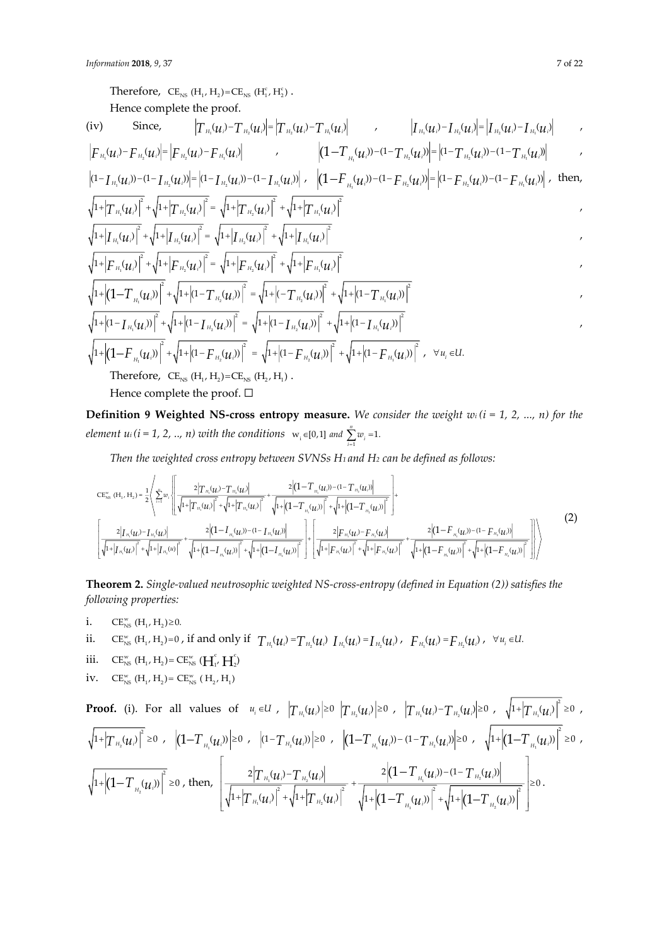Therefore,  $CE_{NS}$  (H<sub>1</sub>, H<sub>2</sub>)= $CE_{NS}$  (H<sub>1</sub>, H<sub>2</sub>). Hence complete the proof.

(iv) Since, 
$$
|T_{H_2}(u_i) - T_{H_2}(u_i)| = |T_{H_2}(u_i) - T_{H_1}(u_i)|
$$
  $|T_{H_1}(u_i) - T_{H_2}(u_i)| = |T_{H_2}(u_i) - T_{H_1}(u_i)|$ 

$$
\left|F_{H_1}(u_i) - F_{H_2}(u_i)\right| = \left|F_{H_2}(u_i) - F_{H_1}(u_i)\right| \qquad , \qquad \left|(1 - T_{H_1}(u_i)) - (1 - T_{H_2}(u_i))\right| = \left|(1 - T_{H_2}(u_i)) - (1 - T_{H_1}(u_i))\right| \qquad ,
$$

$$
\left| (1 - I_{H_1}(u_i)) - (1 - I_{H_2}(u_i)) \right| = \left| (1 - I_{H_2}(u_i)) - (1 - I_{H_1}(u_i)) \right|, \quad \left| (1 - F_{H_2}(u_i)) - (1 - F_{H_2}(u_i)) \right| = \left| (1 - F_{H_2}(u_i)) - (1 - F_{H_2}(u_i)) \right|,
$$
 then,

$$
\frac{1}{1+|T_{H_1}(u_i)|^2} + \sqrt{1+|T_{H_2}(u_i)|^2} = \sqrt{1+|T_{H_2}(u_i)|^2} + \sqrt{1+|T_{H_1}(u_i)|^2}
$$
\n
$$
\frac{1}{1+|T_{H_1}(u_i)|^2} + \sqrt{1+|T_{H_2}(u_i)|^2} = \sqrt{1+|T_{H_2}(u_i)|^2} + \sqrt{1+|T_{H_1}(u_i)|^2}
$$

$$
\sqrt{1+|F_{H_1}(u_i)|^2 + \sqrt{1+|F_{H_2}(u_i)|^2}} = \sqrt{1+|F_{H_2}(u_i)|^2 + \sqrt{1+|F_{H_1}(u_i)|^2}}
$$

$$
\sqrt{1+\left|(1-T_{H_1}(\boldsymbol{u}_i))\right|^2+\sqrt{1+\left|(1-T_{H_2}(\boldsymbol{u}_i))\right|^2}=\sqrt{1+\left|(-T_{H_2}(\boldsymbol{u}_i))\right|^2+\sqrt{1+\left|(1-T_{H_1}(\boldsymbol{u}_i))\right|^2}}
$$

$$
\sqrt{1+|(1-\overline{I}_{H_1}(\mu_i))|^2}+\sqrt{1+|(1-\overline{I}_{H_2}(\mu_i))|^2}=\sqrt{1+|(1-\overline{I}_{H_2}(\mu_i))|^2}+\sqrt{1+|(1-\overline{I}_{H_1}(\mu_i))|^2}
$$
\n
$$
\sqrt{1+|(1-\overline{F}_{H_1}(\mu_i))|^2}+\sqrt{1+|(1-\overline{F}_{H_2}(\mu_i))|^2}=\sqrt{1+|(1-\overline{F}_{H_2}(\mu_i))|^2}+\sqrt{1+|(1-\overline{F}_{H_1}(\mu_i))|^2}, \quad \forall u_i \in U.
$$

Therefore,  $CE_{NS}$  (H<sub>1</sub>, H<sub>2</sub>)= $CE_{NS}$  (H<sub>2</sub>, H<sub>1</sub>).

Hence complete the proof. □

**Definition 9 Weighted NS-cross entropy measure.** We consider the weight  $w_i$  ( $i = 1, 2, ..., n$ ) for the *element u<sub>i</sub>* (*i* = 1, 2, .., *n*) with the conditions  $w_i \in [0,1]$  and  $\sum_{i=1}^{n} w_i = 1$ . and  $\sum_{i=1}^{\infty} w_i$ 

*Then the weighted cross entropy between SVNSs H1 and H<sup>2</sup> can be defined as follows:*

$$
CE_{\rm NS}^{w} (H_1, H_2) = \frac{1}{2} \left\langle \sum_{i=1}^{n} w_i \left\{ \frac{2 |T_{n_i}(u_i) - T_{n_i}(u_i)|}{\sqrt{1 + |T_{n_i}(u_i)|^2} + \sqrt{1 + |T_{n_i}(u_i)|^2}} + \frac{2 |(1 - T_{n_i}(u_i)) - (1 - T_{n_i}(u_i))|}{\sqrt{1 + |(1 - T_{n_i}(u_i))|^2}} \right\} + \frac{2 |(1 - T_{n_i}(u_i)) - (1 - T_{n_i}(u_i))|}{\sqrt{1 + |T_{n_i}(u_i)|^2} + \sqrt{1 + |(1 - T_{n_i}(u_i)) - (1 - T_{n_i}(u_i))|^2}} \right\rbrace + \frac{2 |(1 - T_{n_i}(u_i)) - (1 - T_{n_i}(u_i))|}{\sqrt{1 + |T_{n_i}(u_i)|^2} + \sqrt{1 + |(1 - T_{n_i}(u_i))|^2} + \sqrt{1 + |(1 - T_{n_i}(u_i))|^2} + \sqrt{1 + |(1 - T_{n_i}(u_i))|^2} + \sqrt{1 + |(1 - T_{n_i}(u_i))|^2} + \sqrt{1 + |(1 - T_{n_i}(u_i)) - (1 - T_{n_i}(u_i))|^2} \right\rangle
$$
\n(2)

**Theorem 2.** *Single-valued neutrosophic weighted NS-cross-entropy (defined in Equation (2)) satisfies the following properties:*

- i.  $CE_{NS}^{w}$  (H<sub>1</sub>, H<sub>2</sub>)  $\geq$  0. ii.  $CE_{NS}^w$  (H<sub>1</sub>, H<sub>2</sub>)=0, if and only if  $T_{H_1}(u_i) = T_{H_2}(u_i) I_{H_1}(u_i) = I_{H_2}(u_i)$ ,  $F_{H_1}(u_i) = F_{H_2}(u_i)$ ,  $\forall u_i \in U$ . iii.  $CE_{NS}^{w} (H_1, H_2) = CE_{NS}^{w} (H_1, H_2)$
- iv.  $CE_{NS}^{w} (H_1, H_2) = CE_{NS}^{w} (H_2, H_1)$

Proof. (i). For all values of 
$$
u_i \in U
$$
,  $|T_{H_i}(u_i)| \ge 0$   $|T_{H_2}(u_i)| \ge 0$ ,  $|T_{H_i}(u_i) - T_{H_2}(u_i)| \ge 0$ ,  $\sqrt{1 + |T_{H_1}(u_i)|^2} \ge 0$ ,  
\n $\sqrt{1 + |T_{H_2}(u_i)|^2} \ge 0$ ,  $|(1 - T_{H_1}(u_i))| \ge 0$ ,  $|(1 - T_{H_2}(u_i))| \ge 0$ ,  $|(1 - T_{H_1}(u_i)) - (1 - T_{H_2}(u_i)|) \ge 0$ ,  $\sqrt{1 + |(1 - T_{H_1}(u_i))|^2} \ge 0$ ,  
\n $\sqrt{1 + |(1 - T_{H_2}(u_i))|^2} \ge 0$ , then,  $\sqrt{\frac{2|T_{H_1}(u_i) - T_{H_2}(u_i)|}{\sqrt{1 + |T_{H_1}(u_i)|^2 + \sqrt{1 + |T_{H_2}(u_i)|^2}} + \frac{2|(1 - T_{H_1}(u_i)) - (1 - T_{H_2}(u_i)|)}{\sqrt{1 + |(1 - T_{H_1}(u_i))|^2 + \sqrt{1 + |(1 - T_{H_2}(u_i)|^2}})} \ge 0$ .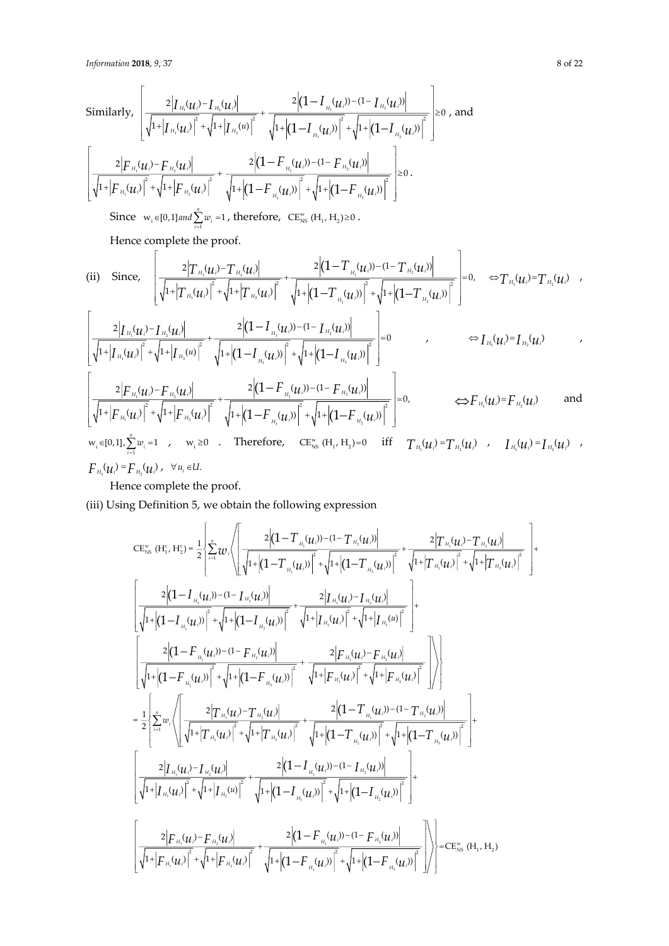Similarly,  
\n
$$
\left[\frac{2|I_{H_1}(u_i)-I_{H_2}(u_i)|}{\sqrt{1+|I_{H_1}(u_i)|^2}+\sqrt{1+|I_{H_2}(u)|^2}}+\frac{2|(1-I_{H_1}(u_i))-(1-I_{H_2}(u_i))|}{\sqrt{1+|(1-I_{H_1}(u_i))|^2}+\sqrt{1+|(1-I_{H_2}(u_i))|^2}}\right]\geq 0
$$
, and  
\n
$$
\left[\frac{2|F_{H_1}(u_i)-F_{H_2}(u_i)|}{\sqrt{1+|F_{H_1}(u_i)|^2}+\sqrt{1+|F_{H_2}(u_i)|^2}}+\frac{2|(1-F_{H_1}(u_i))-(1-F_{H_2}(u_i))|}{\sqrt{1+|(1-F_{H_1}(u_i))|^2}+\sqrt{1+|(1-F_{H_2}(u_i))|^2}}\right]\geq 0.
$$
  
\nSince  $w_i \in [0,1]$  and  $\sum_{i=1}^n w_i = 1$ , therefore,  $CE_{NS}^w(H_1, H_2) \geq 0$ .

Hence complete the proof.

(ii) Since, 
$$
\left[\frac{2|T_{H_1}(u_i) - T_{H_2}(u_i)|}{\sqrt{1 + |T_{H_1}(u_i)|^2} + \sqrt{1 + |T_{H_2}(u_i)|^2}} + \frac{2|(1 - T_{H_1}(u_i)) - (1 - T_{H_2}(u_i))|}{\sqrt{1 + |(1 - T_{H_1}(u_i))|^2} + \sqrt{1 + |(1 - T_{H_2}(u_i))|^2}}\right] = 0, \Leftrightarrow T_{H_1}(u_i) = T_{H_2}(u_i)
$$

$$
\left[ \frac{2\big| I_{\scriptscriptstyle H_i}(u_i)^-I_{\scriptscriptstyle H_2}(u_i) \big|}{\sqrt{1+ \big| I_{\scriptscriptstyle H_i}(u_i) \big|^2} + \sqrt{1+ \big| I_{\scriptscriptstyle H_2}(u) \big|^2}} + \frac{2\big| (1- I_{\scriptscriptstyle H_i}(u_i)^- - (1- I_{\scriptscriptstyle H_2}(u_i)) \big|}{\sqrt{1+ \big| (1- I_{\scriptscriptstyle H_i}(u_i) \big)^2} + \sqrt{1+ \big| (1- I_{\scriptscriptstyle H_2}(u_i) \big)^2}} \right] = 0 \qquad \qquad , \qquad \qquad \Leftrightarrow I_{\scriptscriptstyle H_i}(u_i)^= I_{\scriptscriptstyle H_2}(u_i) \qquad \qquad ,
$$

$$
\left[\frac{2|F_{H_1}(u_i)-F_{H_2}(u_i)|}{\sqrt{1+|F_{H_1}(u_i)|}^2+\sqrt{1+|F_{H_2}(u_i)|}^2}+\frac{2|(1-F_{H_1}(u_i))-1-F_{H_2}(u_i)|}{\sqrt{1+|(1-F_{H_1}(u_i)|}^2+\sqrt{1+|(1-F_{H_2}(u_i))}|^2}+ \sqrt{1+|(1-F_{H_2}(u_i))|^2} \right] = 0, \qquad \Longleftrightarrow F_{H_1}(u_i)=F_{H_2}(u_i) \text{ and}
$$
\n
$$
w_i \in [0,1], \sum_{i=1}^n w_i = 1, \qquad w_i \ge 0 \qquad \text{Therefore,} \qquad CE_{NS}^w(H_1, H_2)=0 \quad \text{iff} \qquad T_{H_1}(u_i)=T_{H_2}(u_i) \qquad I_{H_1}(u_i)=I_{H_2}(u_i) \qquad J_{H_1}(u_i)=I_{H_2}(u_i)
$$

Hence complete the proof.

(iii) Using Definition 5, we obtain the following expression

$$
CE_{\rm NS}^{w} (H_{1}^{c}, H_{2}^{c}) = \frac{1}{2} \left\{ \sum_{i=1}^{n} w_{i} \left( \frac{2 \left( 1 - T_{n_{i}}(u_{i}) - (1 - T_{n_{i}}(u_{i})) \right)}{\sqrt{1 + \left( 1 - T_{n_{i}}(u_{i}) \right)^{2} + \sqrt{1 + \left( 1 - T_{n_{i}}(u_{i}) \right)^{2}}} + \frac{2 \left| T_{n_{i}}(u_{i}) - T_{n_{i}}(u_{i}) \right|}{\sqrt{1 + \left| T_{n_{i}}(u_{i}) \right|^{2} + \sqrt{1 + \left| T_{n_{i}}(u_{i}) \right|^{2}}} + \frac{2 \left| T_{n_{i}}(u_{i}) - T_{n_{i}}(u_{i}) \right|^{2}}{\sqrt{1 + \left| T_{n_{i}}(u_{i}) \right|^{2} + \sqrt{1 + \left| T_{n_{i}}(u_{i}) \right|^{2}}} + \frac{2 \left| T_{n_{i}}(u_{i}) - T_{n_{i}}(u_{i}) \right|^{2}}{\sqrt{1 + \left| T_{n_{i}}(u_{i}) \right|^{2} + \sqrt{1 + \left| T_{n_{i}}(u_{i}) \right|^{2}}} + \frac{2 \left| T_{n_{i}}(u_{i}) - T_{n_{i}}(u_{i}) \right|^{2}}{\sqrt{1 + \left| T_{n_{i}}(u_{i}) \right|^{2} + \sqrt{1 + \left| T_{n_{i}}(u_{i}) \right|^{2}}} + \frac{2 \left| T_{n_{i}}(u_{i}) - T_{n_{i}}(u_{i}) \right|^{2}}{\sqrt{1 + \left| T_{n_{i}}(u_{i}) \right|^{2} + \sqrt{1 + \left| T_{n_{i}}(u_{i}) \right|^{2}}} + \frac{2 \left| T_{n_{i}}(u_{i}) - T_{n_{i}}(u_{i}) \right|^{2}}{\sqrt{1 + \left| T_{n_{i}}(u_{i}) \right|^{2} + \sqrt{1 + \left| T_{n_{i}}(u_{i}) \right|^{2}}} + \frac{2 \left| T_{n_{i}}(u_{i}) - T_{n_{i}}(u_{i}) \right|^{2}}{\sqrt{1 + \left| T_{n_{i}}(u_{i}) \right|^{2}}} + \frac{2 \left| T_{n_{i}}(u_{i}) - T_{
$$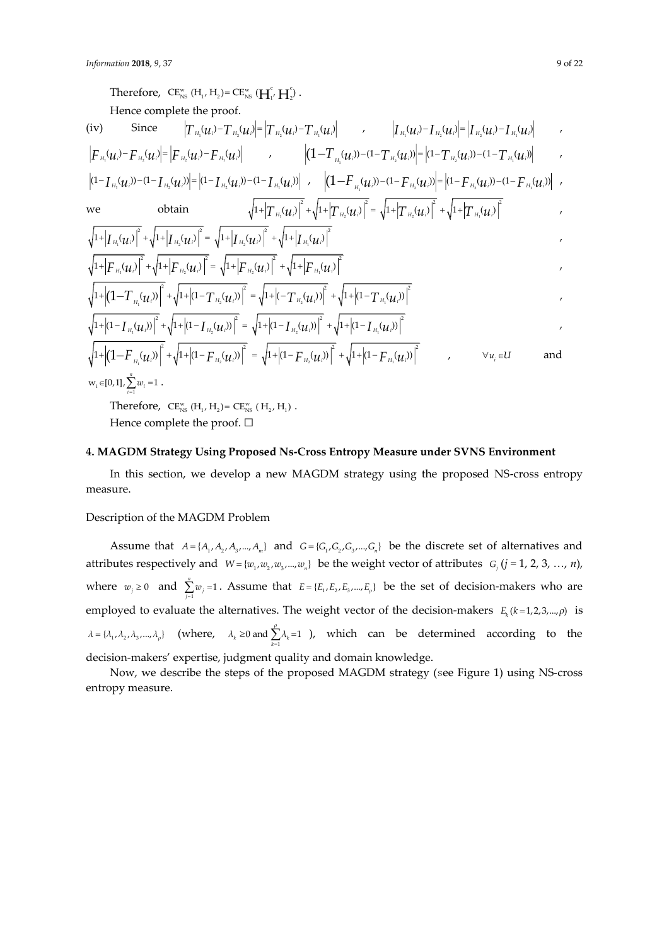Therefore,  $CE_{NS}^{w}$  (H<sub>1</sub>, H<sub>2</sub>) =  $CE_{NS}^{w}$  (H<sub>1</sub>, H<sub>2</sub>). Hence complete the proof. (iv) Since  $\left|T_{\scriptscriptstyle{H_1}}(u_i)-T_{\scriptscriptstyle{H_2}}(u_i)\right| = \left|T_{\scriptscriptstyle{H_2}}(u_i)-T_{\scriptscriptstyle{H_1}}(u_i)\right| \qquad , \qquad \left|I_{\scriptscriptstyle{H_1}}(u_i)-I_{\scriptscriptstyle{H_2}}(u_i)\right| = \left|I_{\scriptscriptstyle{H_2}}(u_i)-I_{\scriptscriptstyle{H_1}}(u_i)\right| \qquad ,$  $F_{\scriptscriptstyle H_i}(u_i) - F_{\scriptscriptstyle H_2}(u_i) = \left|F_{\scriptscriptstyle H_2}(u_i) - F_{\scriptscriptstyle H_i}(u_i)\right|$  ,  $\left|(1-T_{\scriptscriptstyle H_i}(u_i)) - (1-T_{\scriptscriptstyle H_2}(u_i))\right| = \left|(1-T_{\scriptscriptstyle H_2}(u_i)) - (1-T_{\scriptscriptstyle H_i}(u_i))\right|$  $(1-\textstyle\int_{H_1} (u_i))-(1-\textstyle\int_{H_2} (u_i))\biggl|= \bigl|(1-\textstyle\int_{H_2} (u_i))- (1-\textstyle\int_{H_1} (u_i))\biggr| \quad , \quad \ \biggl|(1-\textstyle\int_{H_1} (u_i))- (1-\textstyle\int_{H_2} (u_i))\biggr| = \bigl|(1-\textstyle\int_{H_2} (u_i))- (1-\textstyle\int_{H_1} (u_i))\biggr| \quad ,$ we obtain  $|\nabla_{\mathbf{1}}(\mathcal{U}_i)| + \sqrt{1+}|I|_{H_2}(\mathcal{U}_i)| = \sqrt{1+}|I|_{H_2}(\mathcal{U}_i)| + \sqrt{1+}|I|_{H_1}$  $\frac{1}{1 + \left| T_{H_1}(u_i) \right|^2 + \sqrt{1 + \left| T_{H_2}(u_i) \right|^2}} = \sqrt{1 + \left| T_{H_2}(u_i) \right|^2} + \sqrt{1 + \left| T_{H_1}(u_i) \right|^2}$ 1 2 2 1  $\left\|1+\left|\int_{H_1} (u_i)\right|^2 + \sqrt{1+\left|\int_{H_2} (u_i)\right|^2} = \sqrt{1+\left|\int_{H_2} (u_i)\right|^2} + \sqrt{1+\left|\int_{H_2} (u_i)\right|^2}$  $|\nabla_{\mathbf{u}} \mathcal{U}_{i}|^{2} + \sqrt{1+} |F|_{H_{2}} \mathcal{U}_{i}|^{2} = \sqrt{1+} |F|_{H_{2}} \mathcal{U}_{i}|^{2} + \sqrt{1+} |F|_{H_{1}}$  $\frac{1}{1+|F_{H_1}(u_i)|^2} + \sqrt{1+|F_{H_2}(u_i)|^2} = \sqrt{1+|F_{H_2}(u_i)|^2} + \sqrt{1+|F_{H_1}(u_i)|^2}$  $\mathbf{y} = \begin{pmatrix} 1 & 1 \\ 1 & 1 \end{pmatrix}$  in the  $\mathbf{y} = \begin{pmatrix} 1 & 1 \\ 1 & 1 \end{pmatrix}$  in the  $\mathbf{y} = \begin{pmatrix} 1 & 1 \\ 1 & 1 \end{pmatrix}$  in the  $\mathbf{y} = \begin{pmatrix} 1 & 1 \\ 1 & 1 \end{pmatrix}$  $\left(1+\left|\left(1-T\frac{1}{H_1}(\boldsymbol{\mathcal{U}}_i)\right)\right|^2+\sqrt{1+\left|(1-T\frac{1}{H_2}(\boldsymbol{\mathcal{U}}_i))\right|^2}=\sqrt{1+\left|(-T\frac{1}{H_2}(\boldsymbol{\mathcal{U}}_i))\right|^2}+\sqrt{1+\left|(1-T\frac{1}{H_1}(\boldsymbol{\mathcal{U}}_i))\right|^2}\right)^2,$ 1 2 2 1  $\left(1+\left|(1-\textstyle{\int_{H_2}(u_i))}\right|^2+\sqrt{1+\left|(1-\textstyle{\int_{H_2}(u_i))}\right|^2}=\sqrt{1+\left|(1-\textstyle{\int_{H_2}(u_i))}\right|^2}+\sqrt{1+\left|(1-\textstyle{\int_{H_2}(u_i))}\right|^2}$  $\mathbf{y}$  1  $\mathbf{y}$  1  $\mathbf{z}$   $\mathbf{u}_2$   $\mathbf{v}_1$  1  $\mathbf{y}$  1  $\mathbf{z}$   $\mathbf{u}_2$   $\mathbf{v}_1$  1  $\mathbf{v}_2$  1  $\mathbf{v}_3$  $\left|1+\left|\left(1{-}F_{_{H_{\iota}}}(u_{\iota})\right)\right|^2+\sqrt{1+}\left| (1{-}F_{_{H_{\iota}}}(u_{\iota}))\right|^2\; =\;\sqrt{1+}\left| (1{-}F_{_{H_{\iota}}}(u_{\iota}))\right|^2\;+\sqrt{1+}\left| (1{-}F_{_{H_{\iota}}}(u_{\iota}))\right|^2\qquad \qquad , \qquad\qquad \forall\, u_{\iota}\in \mathbb{R}.$  $\forall u_i \in U$ and  $w_i \in [0,1], \sum_{i=1}^n w_i = 1$  $\in [0,1]$ ,  $\sum_{i=1}$   $w_i$  = 1.

Therefore,  $CE_{NS}^{w} (H_1, H_2) = CE_{NS}^{w} (H_2, H_1)$ .

Hence complete the proof.  $□$ 

#### **4. MAGDM Strategy Using Proposed Ns-Cross Entropy Measure under SVNS Environment**

In this section, we develop a new MAGDM strategy using the proposed NS-cross entropy measure.

#### Description of the MAGDM Problem

Assume that  $A = \{A_1, A_2, A_3, ..., A_m\}$  and  $G = \{G_1, G_2, G_3, ..., G_n\}$  be the discrete set of alternatives and attributes respectively and  $W = \{w_1, w_2, w_3, ..., w_n\}$  be the weight vector of attributes  $G_j$  (*j* = 1, 2, 3, …, *n*), where  $w_j \ge 0$  and  $\sum_{j=1}^{n} w_j = 1$  $\sum_{j=1}^{\infty}$  <sup>*i*</sup>  $\sum w_i = 1$ . Assume that  $E = \{E_1, E_2, E_3, ..., E_p\}$  be the set of decision-makers who are employed to evaluate the alternatives. The weight vector of the decision-makers  $E_k(k=1,2,3,...,\rho)$  is  $\lambda = {\lambda_1, \lambda_2, \lambda_3, ..., \lambda_\rho}$  (where,  $\lambda_k \ge 0$  and  $\sum_{k=1}^{\rho} \lambda_k = 1$  $\lambda_k \geq 0$  and  $\sum_{k=1}^k \lambda_k = 1$  ), which can be determined according to the decision-makers' expertise, judgment quality and domain knowledge.

Now, we describe the steps of the proposed MAGDM strategy (see Figure 1) using NS-cross entropy measure.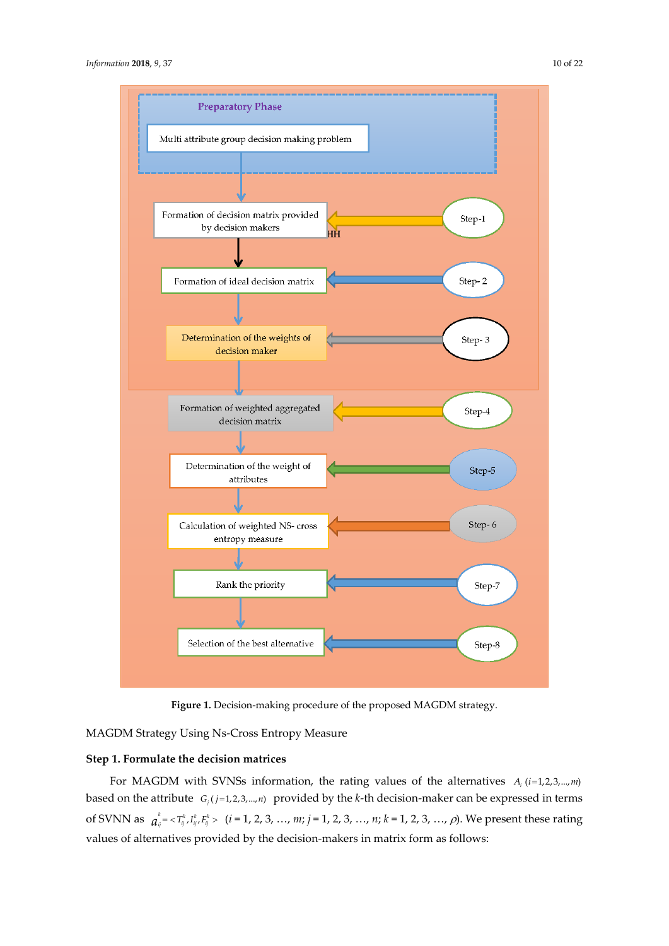

**Figure 1.** Decision-making procedure of the proposed MAGDM strategy.

MAGDM Strategy Using Ns-Cross Entropy Measure

## **Step 1. Formulate the decision matrices**

For MAGDM with SVNSs information, the rating values of the alternatives  $A_i$  (*i*=1,2,3,...,*m*) based on the attribute  $G_i$  ( $j=1,2,3,...,n$ ) provided by the *k*-th decision-maker can be expressed in terms of SVNN as  $a_{ij}^k = \langle T_{ij}^k, I_{ij}^k, F_{ij}^k \rangle$  (*i* = 1, 2, 3, ..., *m*; *j* = 1, 2, 3, ..., *n*; *k* = 1, 2, 3, ..., *ρ*). We present these rating values of alternatives provided by the decision-makers in matrix form as follows: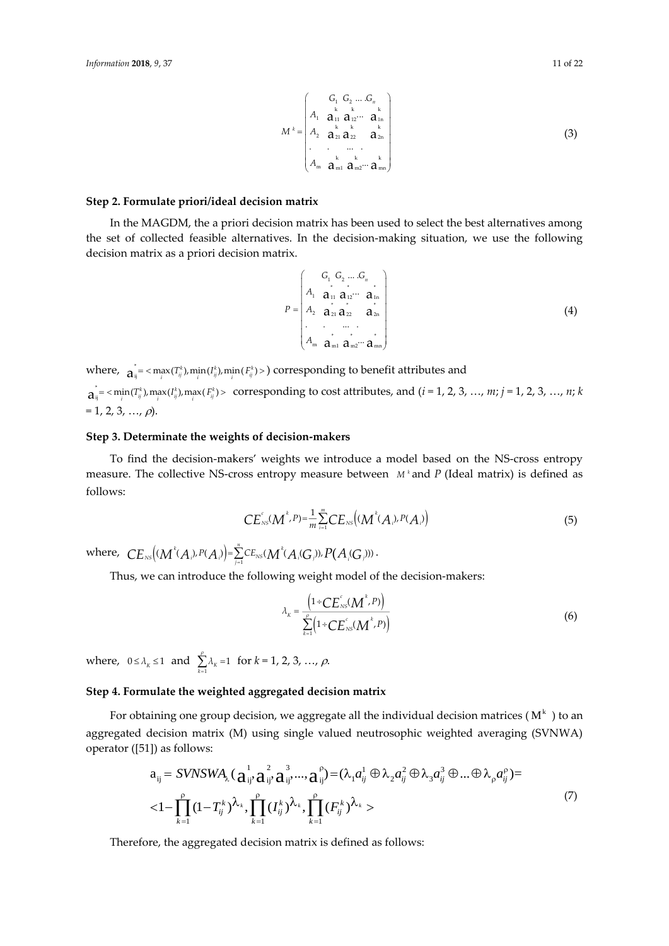$$
M^{k} = \begin{pmatrix} G_{1} & G_{2} & \dots & G_{n} \\ A_{1} & \mathbf{a}_{11} & \mathbf{a}_{12} & \dots & \mathbf{a}_{1n} \\ A_{2} & \mathbf{a}_{21} & \mathbf{a}_{22} & \mathbf{a}_{2n} \\ \vdots & \vdots & \ddots & \vdots \\ A_{m} & \mathbf{a}_{m1} & \mathbf{a}_{m2} & \mathbf{a}_{mn} \end{pmatrix}
$$
(3)

#### **Step 2. Formulate priori/ideal decision matrix**

In the MAGDM, the a priori decision matrix has been used to select the best alternatives among the set of collected feasible alternatives. In the decision-making situation, we use the following decision matrix as a priori decision matrix.

$$
P = \begin{pmatrix} G_1 & G_2 & \dots & G_n \\ A_1 & \mathbf{a}_{11} & \mathbf{a}_{12} & \dots & \mathbf{a}_{1n} \\ A_2 & \mathbf{a}_{21} & \mathbf{a}_{22} & \mathbf{a}_{2n} \\ \vdots & \vdots & \ddots & \vdots \\ A_m & \mathbf{a}_{m1} & \mathbf{a}_{m2} & \dots & \mathbf{a}_{mn} \end{pmatrix}
$$
 (4)

where,  $a_{ij}^* = \langle \max_i(T_{ij}^k), \min_i(I_{ij}^k), \min_i(F_{ij}^k) \rangle$  corresponding to benefit attributes and

 $a_{ij}^* = \min_i(T_{ij}^k)$ ,  $\max_i(I_{ij}^k)$ ,  $\max_i(F_{ij}^k)$  > corresponding to cost attributes, and  $(i = 1, 2, 3, ..., m; j = 1, 2, 3, ..., n; k$  $= 1, 2, 3, ..., \rho$ ).

#### **Step 3. Determinate the weights of decision-makers**

To find the decision-makers' weights we introduce a model based on the NS-cross entropy measure. The collective NS-cross entropy measure between *M <sup>k</sup>* and *P* (Ideal matrix) is defined as follows:

$$
CE_{NS}^{c}(M^{k},P)=\frac{1}{m}\sum_{i=1}^{m}CE_{NS}((M^{k}(A_{i}),P(A_{i}))
$$
\n(5)

where,  $\; CE_{\hbox{\tiny NS}}\bigl((M^{^k}\!(A_{\hbox{\tiny N}})^p(A_{\hbox{\tiny N}})\bigr)$  =  $\sum\limits_{j=1}^n CE_{\hbox{\tiny NS}}\!(M^{^k}\!(A_{\hbox{\tiny N}}\!(G_{\hbox{\tiny N}})^p)$  ,  $P(A_{\hbox{\tiny N}}\!(G_{\hbox{\tiny N}})^p)$  .

Thus, we can introduce the following weight model of the decision-makers:

$$
\lambda_{k} = \frac{\left(1 \div CE_{NS}^{c}(M^{k}, P)\right)}{\sum_{k=1}^{p} \left(1 \div CE_{NS}^{c}(M^{k}, P)\right)}
$$
(6)

where,  $0 \le \lambda_K \le 1$  and  $\sum_{k=1}^{\rho} \lambda_k = 1$  $\sum_{k=1}^{\infty} \lambda_k = 1$  for  $k = 1, 2, 3, ..., \rho$ .

## **Step 4. Formulate the weighted aggregated decision matrix**

For obtaining one group decision, we aggregate all the individual decision matrices (  $\text{M}^\text{k}$  ) to an aggregated decision matrix (M) using single valued neutrosophic weighted averaging (SVNWA) operator ([51]) as follows:

$$
a_{ij} = SVNSWA_{\lambda}(\mathbf{a}_{ij}^{1}, \mathbf{a}_{ij}^{2}, \mathbf{a}_{ij}^{3}, ..., \mathbf{a}_{ij}^{p}) = (\lambda_{1}a_{ij}^{1} \oplus \lambda_{2}a_{ij}^{2} \oplus \lambda_{3}a_{ij}^{3} \oplus ... \oplus \lambda_{p}a_{ij}^{p}) =
$$
  

$$
<1 - \prod_{k=1}^{p} (1 - T_{ij}^{k})^{\lambda_{k}}, \prod_{k=1}^{p} (T_{ij}^{k})^{\lambda_{k}}, \prod_{k=1}^{p} (F_{ij}^{k})^{\lambda_{k}}>
$$
 (7)

Therefore, the aggregated decision matrix is defined as follows: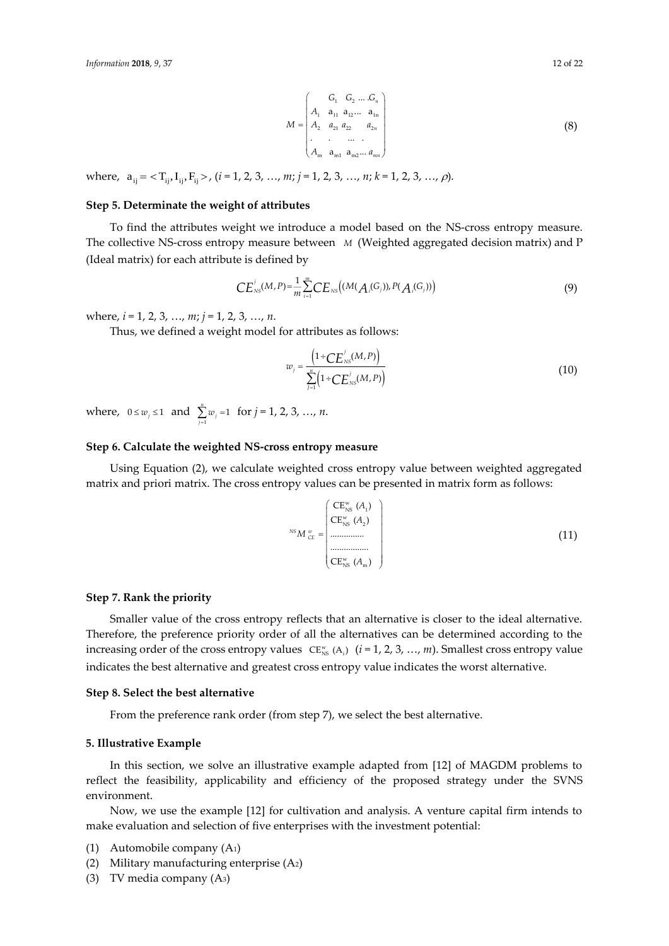$$
M = \begin{pmatrix} G_1 & G_2 & \dots & G_n \\ A_1 & a_{11} & a_{12} & \dots & a_{1n} \\ A_2 & a_{21} & a_{22} & a_{2n} \\ \vdots & \vdots & \vdots & \ddots & \vdots \\ A_m & a_{m1} & a_{m2} & \dots & a_{mn} \end{pmatrix}
$$
 (8)

where,  $a_{ij} = \langle T_{ij}, I_{ij}, F_{ij} \rangle$ ,  $(i = 1, 2, 3, ..., m; j = 1, 2, 3, ..., n; k = 1, 2, 3, ..., \rho)$ .

# **Step 5. Determinate the weight of attributes**

To find the attributes weight we introduce a model based on the NS-cross entropy measure. The collective NS-cross entropy measure between *M* (Weighted aggregated decision matrix) and P (Ideal matrix) for each attribute is defined by

$$
CE_{NS}^{j}(M,P)=\frac{1}{m}\sum_{i=1}^{m}CE_{NS}((M(A_{i}(G_{i})),P(A_{i}(G_{i})))
$$
\n(9)

where, *i* = 1, 2, 3, …, *m*; *j* = 1, 2, 3, …, *n*.

Thus, we defined a weight model for attributes as follows:

$$
w_j = \frac{\left(1 \div CE_{NS}^{j}(M, P)\right)}{\sum_{j=1}^{n} \left(1 \div CE_{NS}^{j}(M, P)\right)}
$$
(10)

where,  $0 \le w_j \le 1$  and  $\sum_{j=1}^n w_j = 1$  $\sum_{j=1}^{n} w_j = 1$  for  $j = 1, 2, 3, ..., n$ .

## **Step 6. Calculate the weighted NS-cross entropy measure**

Using Equation (2), we calculate weighted cross entropy value between weighted aggregated matrix and priori matrix. The cross entropy values can be presented in matrix form as follows:

$$
{}^{NS}M_{CE}^{\stackrel{w}{\sim}} = \begin{pmatrix} CE_{NS}^{w}(A_1) \\ CE_{NS}^{w}(A_2) \\ \vdots \\ C_{SNS}^{w}(A_m) \end{pmatrix}
$$
 (11)

#### **Step 7. Rank the priority**

Smaller value of the cross entropy reflects that an alternative is closer to the ideal alternative. Therefore, the preference priority order of all the alternatives can be determined according to the increasing order of the cross entropy values  $CF_{NS}^w(A_i)$  (*i* = 1, 2, 3, …, *m*). Smallest cross entropy value indicates the best alternative and greatest cross entropy value indicates the worst alternative.

#### **Step 8. Select the best alternative**

From the preference rank order (from step 7), we select the best alternative.

#### **5. Illustrative Example**

In this section, we solve an illustrative example adapted from [12] of MAGDM problems to reflect the feasibility, applicability and efficiency of the proposed strategy under the SVNS environment.

Now, we use the example [12] for cultivation and analysis. A venture capital firm intends to make evaluation and selection of five enterprises with the investment potential:

- (1) Automobile company (A1)
- (2) Military manufacturing enterprise (A2)
- (3) TV media company (A3)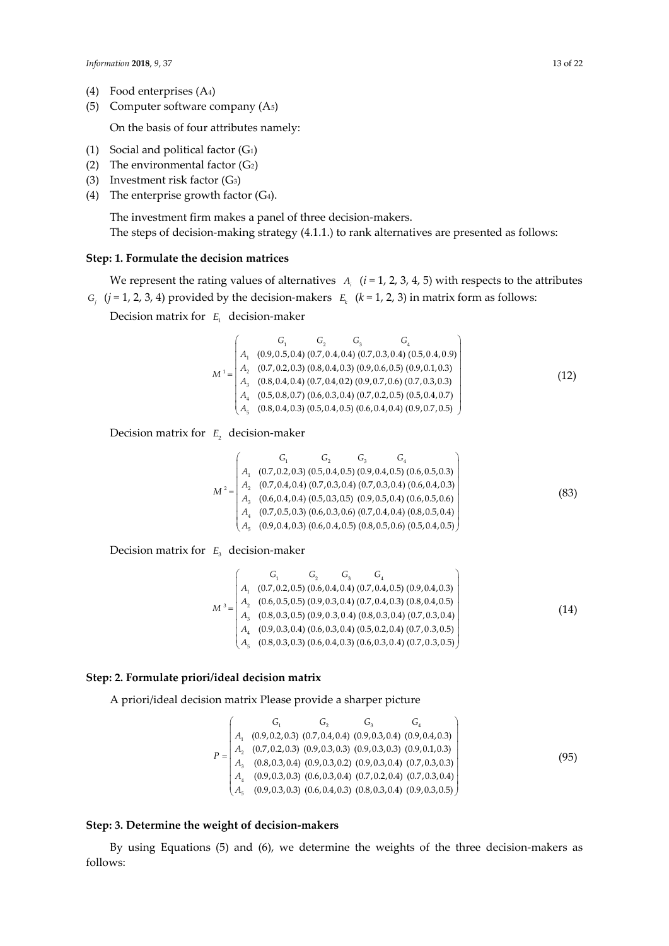- (4) Food enterprises (A4)
- (5) Computer software company (A5)

On the basis of four attributes namely:

- (1) Social and political factor  $(G_1)$
- (2) The environmental factor  $(G<sub>2</sub>)$
- (3) Investment risk factor (G3)
- (4) The enterprise growth factor  $(G<sub>4</sub>)$ .

The investment firm makes a panel of three decision-makers. The steps of decision-making strategy (4.1.1.) to rank alternatives are presented as follows:

#### **Step: 1. Formulate the decision matrices**

We represent the rating values of alternatives  $A_i$  ( $i = 1, 2, 3, 4, 5$ ) with respects to the attributes *G<sub>j</sub>* (*j* = 1, 2, 3, 4) provided by the decision-makers  $E_k$  ( $k = 1, 2, 3$ ) in matrix form as follows:

Decision matrix for *E*1 decision-maker

$$
M^{1} = \begin{pmatrix} G_{1} & G_{2} & G_{3} & G_{4} \\ A_{1} & (0.9, 0.5, 0.4) & (0.7, 0.4, 0.4) & (0.7, 0.3, 0.4) & (0.5, 0.4, 0.9) \\ A_{2} & (0.7, 0.2, 0.3) & (0.8, 0.4, 0.3) & (0.9, 0.6, 0.5) & (0.9, 0.1, 0.3) \\ A_{3} & (0.8, 0.4, 0.4) & (0.7, 0.4, 0.2) & (0.9, 0.7, 0.6) & (0.7, 0.3, 0.3) \\ A_{4} & (0.5, 0.8, 0.7) & (0.6, 0.3, 0.4) & (0.7, 0.2, 0.5) & (0.5, 0.4, 0.7) \\ A_{5} & (0.8, 0.4, 0.3) & (0.5, 0.4, 0.5) & (0.6, 0.4, 0.4) & (0.9, 0.7, 0.5) \end{pmatrix}
$$
\n
$$
(12)
$$

Decision matrix for E<sub>2</sub> decision-maker

$$
M^{2} = \begin{pmatrix} G_{1} & G_{2} & G_{3} & G_{4} \\ A_{1} & (0.7, 0.2, 0.3) & (0.5, 0.4, 0.5) & (0.9, 0.4, 0.5) & (0.6, 0.5, 0.3) \\ A_{2} & (0.7, 0.4, 0.4) & (0.7, 0.3, 0.4) & (0.7, 0.3, 0.4) & (0.6, 0.4, 0.3) \\ A_{3} & (0.6, 0.4, 0.4) & (0.5, 0.3, 0.5) & (0.9, 0.5, 0.4) & (0.6, 0.5, 0.6) \\ A_{4} & (0.7, 0.5, 0.3) & (0.6, 0.3, 0.6) & (0.7, 0.4, 0.4) & (0.8, 0.5, 0.4) \\ A_{5} & (0.9, 0.4, 0.3) & (0.6, 0.4, 0.5) & (0.8, 0.5, 0.6) & (0.5, 0.4, 0.5) \end{pmatrix}
$$
(83)

Decision matrix for *E*3 decision-maker

$$
M^3 = \begin{pmatrix} G_1 & G_2 & G_3 & G_4 \\ A_1 & (0.7, 0.2, 0.5) & (0.6, 0.4, 0.4) & (0.7, 0.4, 0.5) & (0.9, 0.4, 0.3) \\ A_2 & (0.6, 0.5, 0.5) & (0.9, 0.3, 0.4) & (0.7, 0.4, 0.3) & (0.8, 0.4, 0.5) \\ A_3 & (0.8, 0.3, 0.5) & (0.9, 0.3, 0.4) & (0.8, 0.3, 0.4) & (0.7, 0.3, 0.4) \\ A_4 & (0.9, 0.3, 0.4) & (0.6, 0.3, 0.4) & (0.5, 0.2, 0.4) & (0.7, 0.3, 0.5) \\ A_5 & (0.8, 0.3, 0.3) & (0.6, 0.4, 0.3) & (0.6, 0.3, 0.4) & (0.7, 0.3, 0.5) \end{pmatrix}
$$
(14)

#### **Step: 2. Formulate priori/ideal decision matrix**

A priori/ideal decision matrix Please provide a sharper picture

$$
P = \begin{pmatrix} G_1 & G_2 & G_3 & G_4 \ A_1 & (0.9, 0.2, 0.3) & (0.7, 0.4, 0.4) & (0.9, 0.3, 0.4) & (0.9, 0.4, 0.3) \ A_2 & (0.7, 0.2, 0.3) & (0.9, 0.3, 0.3) & (0.9, 0.3, 0.3) & (0.9, 0.1, 0.3) \ A_3 & (0.8, 0.3, 0.4) & (0.9, 0.3, 0.2) & (0.9, 0.3, 0.4) & (0.7, 0.3, 0.3) \ A_4 & (0.9, 0.3, 0.3) & (0.6, 0.3, 0.4) & (0.7, 0.2, 0.4) & (0.7, 0.3, 0.4) \ A_5 & (0.9, 0.3, 0.3) & (0.6, 0.4, 0.3) & (0.8, 0.3, 0.4) & (0.9, 0.3, 0.5) \end{pmatrix}
$$
\n
$$
(95)
$$

#### **Step: 3. Determine the weight of decision-makers**

By using Equations (5) and (6), we determine the weights of the three decision-makers as follows: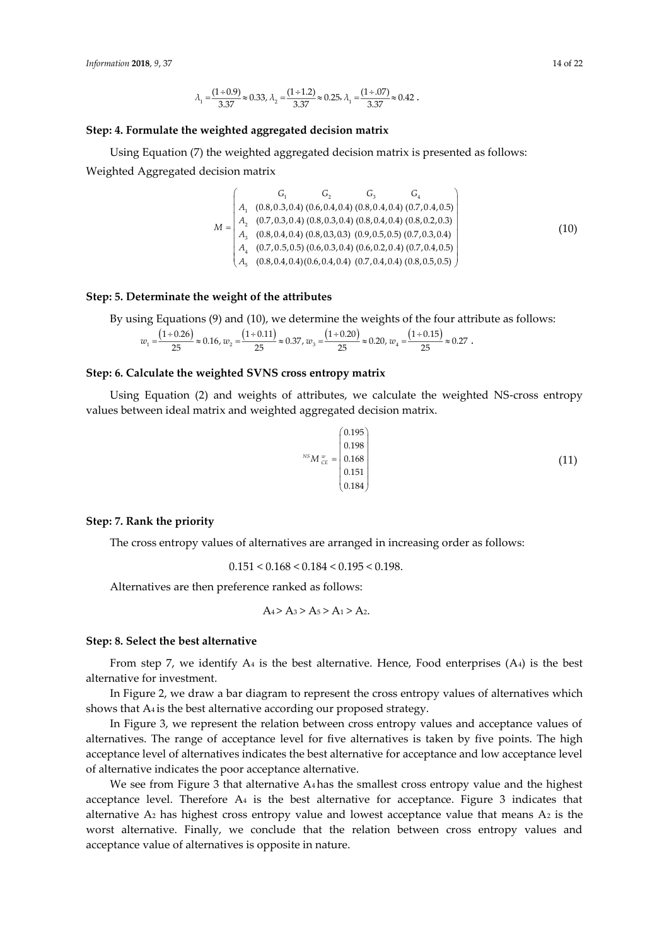$$
\lambda_1 = \frac{(1 \div 0.9)}{3.37} \approx 0.33, \, \lambda_2 = \frac{(1 \div 1.2)}{3.37} \approx 0.25, \, \lambda_1 = \frac{(1 \div .07)}{3.37} \approx 0.42 \ .
$$

## **Step: 4. Formulate the weighted aggregated decision matrix**

Using Equation (7) the weighted aggregated decision matrix is presented as follows: Weighted Aggregated decision matrix

$$
M = \begin{pmatrix} G_1 & G_2 & G_3 & G_4 \\ A_1 & (0.8, 0.3, 0.4) & (0.6, 0.4, 0.4) & (0.8, 0.4, 0.4) & (0.7, 0.4, 0.5) \\ A_2 & (0.7, 0.3, 0.4) & (0.8, 0.3, 0.4) & (0.8, 0.4, 0.4) & (0.8, 0.2, 0.3) \\ A_3 & (0.8, 0.4, 0.4) & (0.8, 0.3, 0.3) & (0.9, 0.5, 0.5) & (0.7, 0.3, 0.4) \\ A_4 & (0.7, 0.5, 0.5) & (0.6, 0.3, 0.4) & (0.6, 0.2, 0.4) & (0.7, 0.4, 0.5) \\ A_5 & (0.8, 0.4, 0.4) & (0.6, 0.4, 0.4) & (0.7, 0.4, 0.4) & (0.8, 0.5, 0.5) \end{pmatrix}
$$
(10)

#### **Step: 5. Determinate the weight of the attributes**

By using Equations (9) and (10), we determine the weights of the four attribute as follows:

$$
w_1 = \frac{\left(1 \div 0.26\right)}{25} \approx 0.16, w_2 = \frac{\left(1 \div 0.11\right)}{25} \approx 0.37, w_3 = \frac{\left(1 \div 0.20\right)}{25} \approx 0.20, w_4 = \frac{\left(1 \div 0.15\right)}{25} \approx 0.27.
$$

#### **Step: 6. Calculate the weighted SVNS cross entropy matrix**

Using Equation (2) and weights of attributes, we calculate the weighted NS-cross entropy values between ideal matrix and weighted aggregated decision matrix.

$$
^{NS}M_{\substack{w\\c}E} = \begin{pmatrix} 0.195\\0.198\\0.168\\0.151\\0.184 \end{pmatrix} \tag{11}
$$

## **Step: 7. Rank the priority**

The cross entropy values of alternatives are arranged in increasing order as follows:

 $0.151 < 0.168 < 0.184 < 0.195 < 0.198.$ 

Alternatives are then preference ranked as follows:

$$
A_4 > A_3 > A_5 > A_1 > A_2
$$

#### **Step: 8. Select the best alternative**

From step 7, we identify  $A_4$  is the best alternative. Hence, Food enterprises  $(A_4)$  is the best alternative for investment.

In Figure 2, we draw a bar diagram to represent the cross entropy values of alternatives which shows that A4 is the best alternative according our proposed strategy.

In Figure 3, we represent the relation between cross entropy values and acceptance values of alternatives. The range of acceptance level for five alternatives is taken by five points. The high acceptance level of alternatives indicates the best alternative for acceptance and low acceptance level of alternative indicates the poor acceptance alternative.

We see from Figure 3 that alternative  $A_4$  has the smallest cross entropy value and the highest acceptance level. Therefore  $A_4$  is the best alternative for acceptance. Figure 3 indicates that alternative  $A_2$  has highest cross entropy value and lowest acceptance value that means  $A_2$  is the worst alternative. Finally, we conclude that the relation between cross entropy values and acceptance value of alternatives is opposite in nature.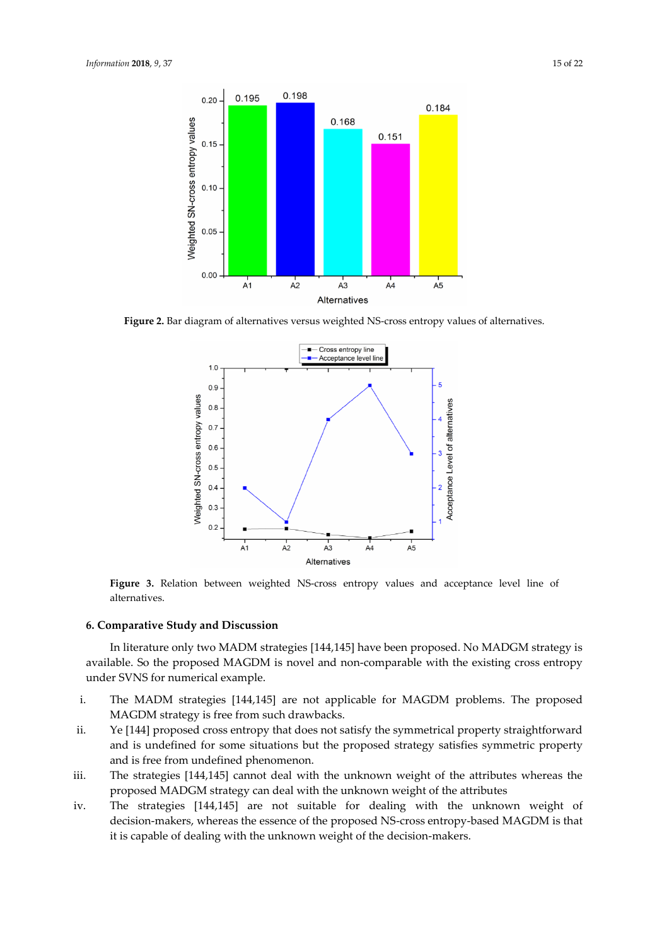

**Figure 2.** Bar diagram of alternatives versus weighted NS-cross entropy values of alternatives.



**Figure 3.** Relation between weighted NS-cross entropy values and acceptance level line of alternatives.

#### **6. Comparative Study and Discussion**

In literature only two MADM strategies [144,145] have been proposed. No MADGM strategy is available. So the proposed MAGDM is novel and non-comparable with the existing cross entropy under SVNS for numerical example.

- i. The MADM strategies [144,145] are not applicable for MAGDM problems. The proposed MAGDM strategy is free from such drawbacks.
- ii. Ye [144] proposed cross entropy that does not satisfy the symmetrical property straightforward and is undefined for some situations but the proposed strategy satisfies symmetric property and is free from undefined phenomenon.
- iii. The strategies [144,145] cannot deal with the unknown weight of the attributes whereas the proposed MADGM strategy can deal with the unknown weight of the attributes
- iv. The strategies [144,145] are not suitable for dealing with the unknown weight of decision-makers, whereas the essence of the proposed NS-cross entropy-based MAGDM is that it is capable of dealing with the unknown weight of the decision-makers.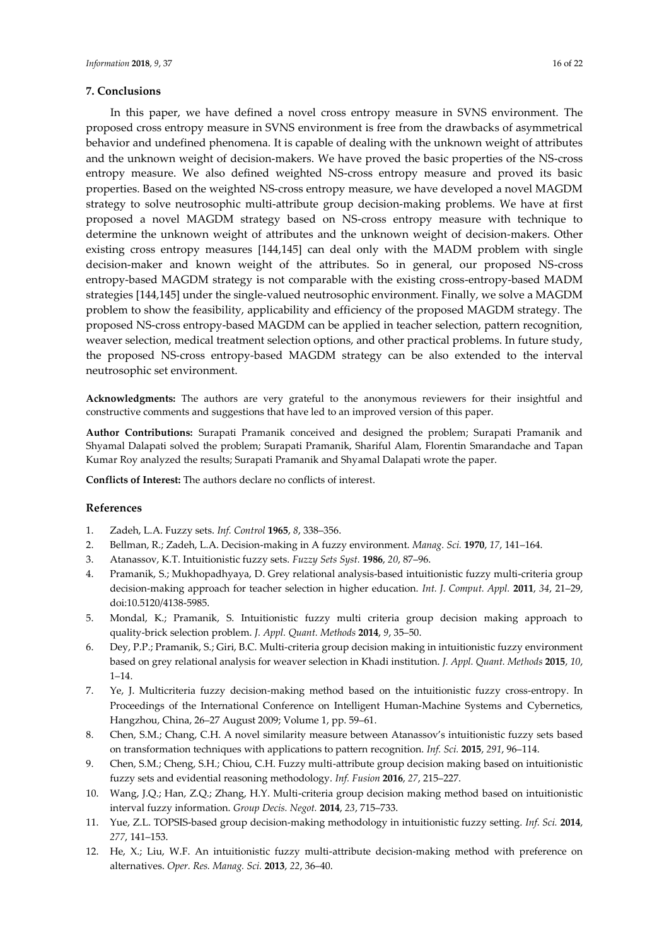## **7. Conclusions**

In this paper, we have defined a novel cross entropy measure in SVNS environment. The proposed cross entropy measure in SVNS environment is free from the drawbacks of asymmetrical behavior and undefined phenomena. It is capable of dealing with the unknown weight of attributes and the unknown weight of decision-makers. We have proved the basic properties of the NS-cross entropy measure. We also defined weighted NS-cross entropy measure and proved its basic properties. Based on the weighted NS-cross entropy measure, we have developed a novel MAGDM strategy to solve neutrosophic multi-attribute group decision-making problems. We have at first proposed a novel MAGDM strategy based on NS-cross entropy measure with technique to determine the unknown weight of attributes and the unknown weight of decision-makers. Other existing cross entropy measures [144,145] can deal only with the MADM problem with single decision-maker and known weight of the attributes. So in general, our proposed NS-cross entropy-based MAGDM strategy is not comparable with the existing cross-entropy-based MADM strategies [144,145] under the single-valued neutrosophic environment. Finally, we solve a MAGDM problem to show the feasibility, applicability and efficiency of the proposed MAGDM strategy. The proposed NS-cross entropy-based MAGDM can be applied in teacher selection, pattern recognition, weaver selection, medical treatment selection options, and other practical problems. In future study, the proposed NS-cross entropy-based MAGDM strategy can be also extended to the interval neutrosophic set environment.

**Acknowledgments:** The authors are very grateful to the anonymous reviewers for their insightful and constructive comments and suggestions that have led to an improved version of this paper.

**Author Contributions:** Surapati Pramanik conceived and designed the problem; Surapati Pramanik and Shyamal Dalapati solved the problem; Surapati Pramanik, Shariful Alam, Florentin Smarandache and Tapan Kumar Roy analyzed the results; Surapati Pramanik and Shyamal Dalapati wrote the paper.

**Conflicts of Interest:** The authors declare no conflicts of interest.

## **References**

- 1. Zadeh, L.A. Fuzzy sets. *Inf. Control* **1965**, *8*, 338–356.
- 2. Bellman, R.; Zadeh, L.A. Decision-making in A fuzzy environment. *Manag. Sci.* **1970**, *17*, 141–164.
- 3. Atanassov, K.T. Intuitionistic fuzzy sets. *Fuzzy Sets Syst.* **1986**, *20*, 87–96.
- 4. Pramanik, S.; Mukhopadhyaya, D. Grey relational analysis-based intuitionistic fuzzy multi-criteria group decision-making approach for teacher selection in higher education. *Int. J. Comput. Appl.* **2011**, *34*, 21–29, doi:10.5120/4138-5985.
- 5. Mondal, K.; Pramanik, S. Intuitionistic fuzzy multi criteria group decision making approach to quality-brick selection problem. *J. Appl. Quant. Methods* **2014**, *9*, 35–50.
- 6. Dey, P.P.; Pramanik, S.; Giri, B.C. Multi-criteria group decision making in intuitionistic fuzzy environment based on grey relational analysis for weaver selection in Khadi institution. *J. Appl. Quant. Methods* **2015**, *10*, 1–14.
- 7. Ye, J. Multicriteria fuzzy decision-making method based on the intuitionistic fuzzy cross-entropy. In Proceedings of the International Conference on Intelligent Human-Machine Systems and Cybernetics, Hangzhou, China, 26–27 August 2009; Volume 1, pp. 59–61.
- 8. Chen, S.M.; Chang, C.H. A novel similarity measure between Atanassov's intuitionistic fuzzy sets based on transformation techniques with applications to pattern recognition. *Inf. Sci.* **2015**, *291*, 96–114.
- 9. Chen, S.M.; Cheng, S.H.; Chiou, C.H. Fuzzy multi-attribute group decision making based on intuitionistic fuzzy sets and evidential reasoning methodology. *Inf. Fusion* **2016**, *27*, 215–227.
- 10. Wang, J.Q.; Han, Z.Q.; Zhang, H.Y. Multi-criteria group decision making method based on intuitionistic interval fuzzy information. *Group Decis. Negot.* **2014**, *23*, 715–733.
- 11. Yue, Z.L. TOPSIS-based group decision-making methodology in intuitionistic fuzzy setting. *Inf. Sci.* **2014**, *277*, 141–153.
- 12. He, X.; Liu, W.F. An intuitionistic fuzzy multi-attribute decision-making method with preference on alternatives. *Oper. Res. Manag. Sci.* **2013**, *22*, 36–40.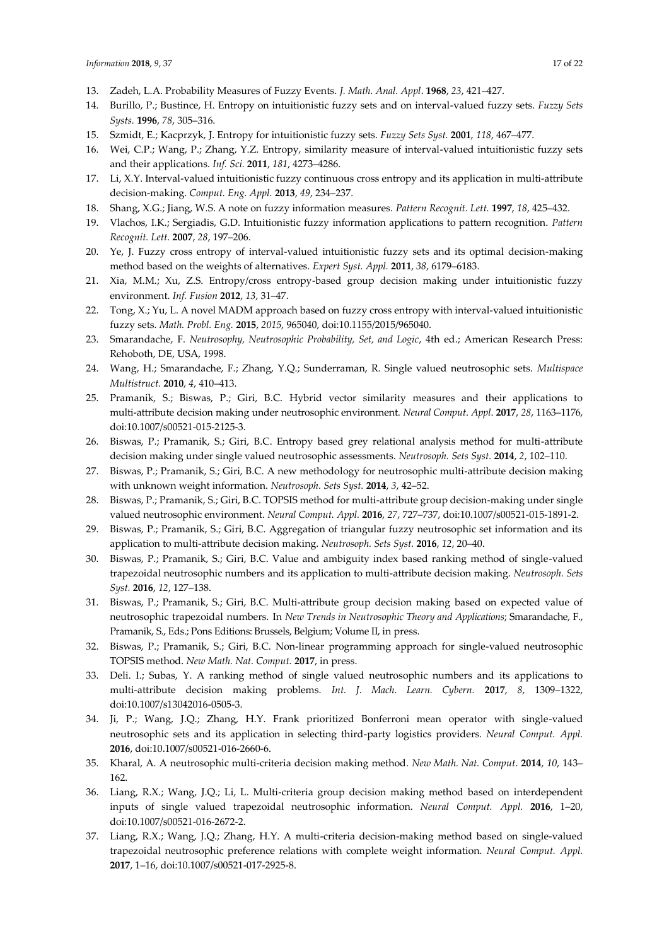- 13. Zadeh, L.A. Probability Measures of Fuzzy Events. *J. Math. Anal. Appl*. **1968**, *23*, 421–427.
- 14. Burillo, P.; Bustince, H. Entropy on intuitionistic fuzzy sets and on interval-valued fuzzy sets. *Fuzzy Sets Systs.* **1996**, *78*, 305–316.
- 15. Szmidt, E.; Kacprzyk, J. Entropy for intuitionistic fuzzy sets. *Fuzzy Sets Syst.* **2001**, *118*, 467–477.
- 16. Wei, C.P.; Wang, P.; Zhang, Y.Z. Entropy, similarity measure of interval-valued intuitionistic fuzzy sets and their applications. *Inf. Sci.* **2011**, *181*, 4273–4286.
- 17. Li, X.Y. Interval-valued intuitionistic fuzzy continuous cross entropy and its application in multi-attribute decision-making. *Comput. Eng. Appl.* **2013**, *49*, 234–237.
- 18. Shang, X.G.; Jiang, W.S. A note on fuzzy information measures. *Pattern Recognit. Lett.* **1997**, *18*, 425–432.
- 19. Vlachos, I.K.; Sergiadis, G.D. Intuitionistic fuzzy information applications to pattern recognition. *Pattern Recognit. Lett.* **2007**, *28*, 197–206.
- 20. Ye, J. Fuzzy cross entropy of interval-valued intuitionistic fuzzy sets and its optimal decision-making method based on the weights of alternatives. *Expert Syst. Appl.* **2011**, *38*, 6179–6183.
- 21. Xia, M.M.; Xu, Z.S. Entropy/cross entropy-based group decision making under intuitionistic fuzzy environment. *Inf. Fusion* **2012**, *13*, 31–47.
- 22. Tong, X.; Yu, L. A novel MADM approach based on fuzzy cross entropy with interval-valued intuitionistic fuzzy sets. *Math. Probl. Eng.* **2015**, *2015*, 965040, doi:10.1155/2015/965040.
- 23. Smarandache, F. *Neutrosophy, Neutrosophic Probability, Set, and Logic*, 4th ed.; American Research Press: Rehoboth, DE, USA, 1998.
- 24. Wang, H.; Smarandache, F.; Zhang, Y.Q.; Sunderraman, R. Single valued neutrosophic sets. *Multispace Multistruct.* **2010**, *4*, 410–413.
- 25. Pramanik, S.; Biswas, P.; Giri, B.C. Hybrid vector similarity measures and their applications to multi-attribute decision making under neutrosophic environment. *Neural Comput*. *Appl*. **2017**, *28*, 1163–1176, doi:10.1007/s00521-015-2125-3.
- 26. Biswas, P.; Pramanik, S.; Giri, B.C. Entropy based grey relational analysis method for multi-attribute decision making under single valued neutrosophic assessments. *Neutrosoph. Sets Syst.* **2014**, *2*, 102–110.
- 27. Biswas, P.; Pramanik, S.; Giri, B.C. A new methodology for neutrosophic multi-attribute decision making with unknown weight information. *Neutrosoph. Sets Syst.* **2014**, *3*, 42–52.
- 28. Biswas, P.; Pramanik, S.; Giri, B.C. TOPSIS method for multi-attribute group decision-making under single valued neutrosophic environment. *Neural Comput. Appl.* **2016**, *27*, 727–737, doi:10.1007/s00521-015-1891-2.
- 29. Biswas, P.; Pramanik, S.; Giri, B.C. Aggregation of triangular fuzzy neutrosophic set information and its application to multi-attribute decision making. *Neutrosoph. Sets Syst.* **2016**, *12*, 20–40.
- 30. Biswas, P.; Pramanik, S.; Giri, B.C. Value and ambiguity index based ranking method of single-valued trapezoidal neutrosophic numbers and its application to multi-attribute decision making. *Neutrosoph. Sets Syst.* **2016**, *12*, 127–138.
- 31. Biswas, P.; Pramanik, S.; Giri, B.C. Multi-attribute group decision making based on expected value of neutrosophic trapezoidal numbers. In *New Trends in Neutrosophic Theory and Applications*; Smarandache, F., Pramanik, S., Eds.; Pons Editions: Brussels, Belgium; Volume II, in press.
- 32. Biswas, P.; Pramanik, S.; Giri, B.C. Non-linear programming approach for single-valued neutrosophic TOPSIS method. *New Math. Nat. Comput.* **2017**, in press.
- 33. Deli. I.; Subas, Y. A ranking method of single valued neutrosophic numbers and its applications to multi-attribute decision making problems. *Int. J. Mach. Learn. Cybern.* **2017**, *8*, 1309–1322, doi:10.1007/s13042016-0505-3.
- 34. Ji, P.; Wang, J.Q.; Zhang, H.Y. Frank prioritized Bonferroni mean operator with single-valued neutrosophic sets and its application in selecting third-party logistics providers. *Neural Comput. Appl.* **2016**, doi:10.1007/s00521-016-2660-6.
- 35. Kharal, A. A neutrosophic multi-criteria decision making method. *New Math. Nat. Comput*. **2014**, *10*, 143– 162.
- 36. Liang, R.X.; Wang, J.Q.; Li, L. Multi-criteria group decision making method based on interdependent inputs of single valued trapezoidal neutrosophic information. *Neural Comput. Appl.* **2016**, 1–20, doi:10.1007/s00521-016-2672-2.
- 37. Liang, R.X.; Wang, J.Q.; Zhang, H.Y. A multi-criteria decision-making method based on single-valued trapezoidal neutrosophic preference relations with complete weight information. *Neural Comput. Appl.* **2017**, 1–16, doi:10.1007/s00521-017-2925-8.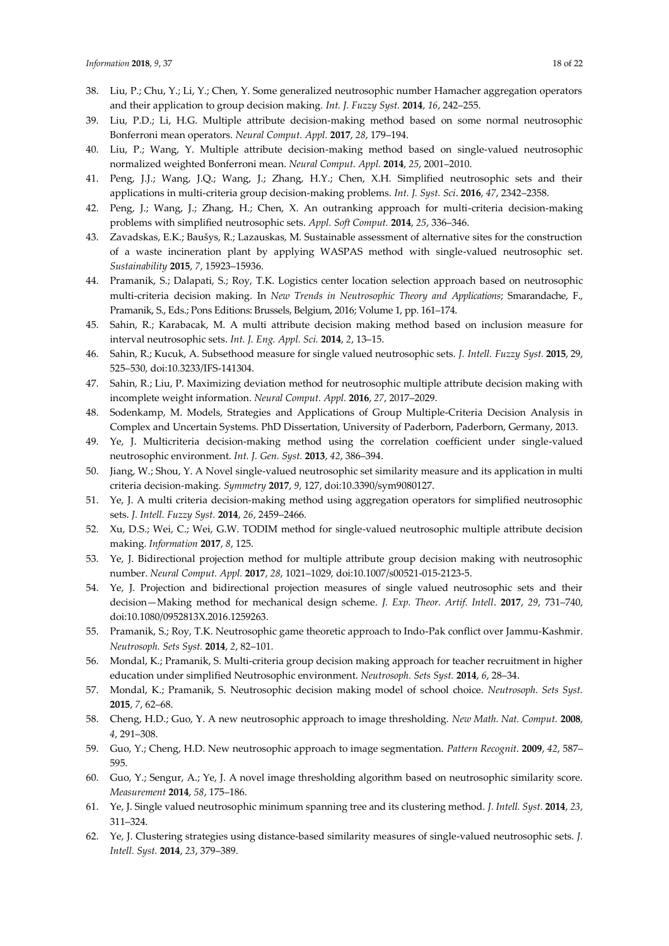- 38. Liu, P.; Chu, Y.; Li, Y.; Chen, Y. Some generalized neutrosophic number Hamacher aggregation operators and their application to group decision making*. Int. J. Fuzzy Syst.* **2014**, *16*, 242–255.
- 39. Liu, P.D.; Li, H.G. Multiple attribute decision-making method based on some normal neutrosophic Bonferroni mean operators. *Neural Comput. Appl.* **2017**, *28*, 179–194.
- 40. Liu, P.; Wang, Y. Multiple attribute decision-making method based on single-valued neutrosophic normalized weighted Bonferroni mean. *Neural Comput. Appl.* **2014**, *25*, 2001–2010.
- 41. Peng, J.J.; Wang, J.Q.; Wang, J.; Zhang, H.Y.; Chen, X.H. Simplified neutrosophic sets and their applications in multi-criteria group decision-making problems. *Int. J. Syst. Sci*. **2016**, *47*, 2342–2358.
- 42. Peng, J.; Wang, J.; Zhang, H.; Chen, X. An outranking approach for multi-criteria decision-making problems with simplified neutrosophic sets. *Appl. Soft Comput.* **2014**, *25*, 336–346.
- 43. Zavadskas, E.K.; Baušys, R.; Lazauskas, M. Sustainable assessment of alternative sites for the construction of a waste incineration plant by applying WASPAS method with single-valued neutrosophic set. *Sustainability* **2015**, *7*, 15923–15936.
- 44. Pramanik, S.; Dalapati, S.; Roy, T.K. Logistics center location selection approach based on neutrosophic multi-criteria decision making. In *New Trends in Neutrosophic Theory and Applications*; Smarandache, F., Pramanik, S., Eds.; Pons Editions: Brussels, Belgium, 2016; Volume 1, pp. 161–174.
- 45. Sahin, R.; Karabacak, M. A multi attribute decision making method based on inclusion measure for interval neutrosophic sets. *Int. J. Eng. Appl. Sci.* **2014**, *2*, 13–15.
- 46. Sahin, R.; Kucuk, A. Subsethood measure for single valued neutrosophic sets. *J. Intell. Fuzzy Syst.* **2015**, 29, 525–530, doi:10.3233/IFS-141304.
- 47. Sahin, R.; Liu, P. [Maximizing deviation method for neutrosophic multiple attribute decision making with](javascript:void(0))  [incomplete weight information.](javascript:void(0)) *Neural Comput. Appl.* **2016**, *27*, 2017–2029.
- 48. Sodenkamp, M. Models, Strategies and Applications of Group Multiple-Criteria Decision Analysis in Complex and Uncertain Systems. PhD Dissertation, University of Paderborn, Paderborn, Germany, 2013.
- 49. Ye, J. Multicriteria decision-making method using the correlation coefficient under single-valued neutrosophic environment. *Int. J. Gen. Syst.* **2013**, *42*, 386–394.
- 50. Jiang, W.; Shou, Y. A Novel single-valued neutrosophic set similarity measure and its application in multi criteria decision-making. *Symmetry* **2017**, *9*, 127, doi:10.3390/sym9080127.
- 51. Ye, J. A multi criteria decision-making method using aggregation operators for simplified neutrosophic sets. *J. Intell. Fuzzy Syst.* **2014**, *26*, 2459–2466.
- 52. Xu, D.S.; Wei, C.; Wei, G.W. TODIM method for single-valued neutrosophic multiple attribute decision making. *Information* **2017**, *8*, 125.
- 53. Ye, J. Bidirectional projection method for multiple attribute group decision making with neutrosophic number. *Neural Comput. Appl.* **2017**, *28*, 1021–1029, doi:10.1007/s00521-015-2123-5.
- 54. Ye, J. Projection and bidirectional projection measures of single valued neutrosophic sets and their decision—Making method for mechanical design scheme. *J. Exp. Theor. Artif. Intell*. **2017**, *29*, 731–740, doi:10.1080/0952813X.2016.1259263.
- 55. Pramanik, S.; Roy, T.K. Neutrosophic game theoretic approach to Indo-Pak conflict over Jammu-Kashmir. *Neutrosoph. Sets Syst.* **2014**, *2*, 82–101.
- 56. Mondal, K.; Pramanik, S. Multi-criteria group decision making approach for teacher recruitment in higher education under simplified Neutrosophic environment. *Neutrosoph. Sets Syst.* **2014**, *6*, 28–34.
- 57. Mondal, K.; Pramanik, S. Neutrosophic decision making model of school choice. *Neutrosoph. Sets Syst.* **2015**, *7*, 62–68.
- 58. Cheng, H.D.; Guo, Y. A new neutrosophic approach to image thresholding. *New Math. Nat. Comput.* **2008**, *4*, 291–308.
- 59. Guo, Y.; Cheng, H.D. New neutrosophic approach to image segmentation. *Pattern Recognit*. **2009**, *42*, 587– 595.
- 60. Guo, Y.; Sengur, A.; Ye, J. A novel image thresholding algorithm based on neutrosophic similarity score. *Measurement* **2014**, *58*, 175–186.
- 61. Ye, J. Single valued neutrosophic minimum spanning tree and its clustering method. *J. Intell. Syst.* **2014**, *23*, 311–324.
- 62. Ye, J. Clustering strategies using distance-based similarity measures of single-valued neutrosophic sets. *J. Intell. Syst.* **2014**, *23*, 379–389.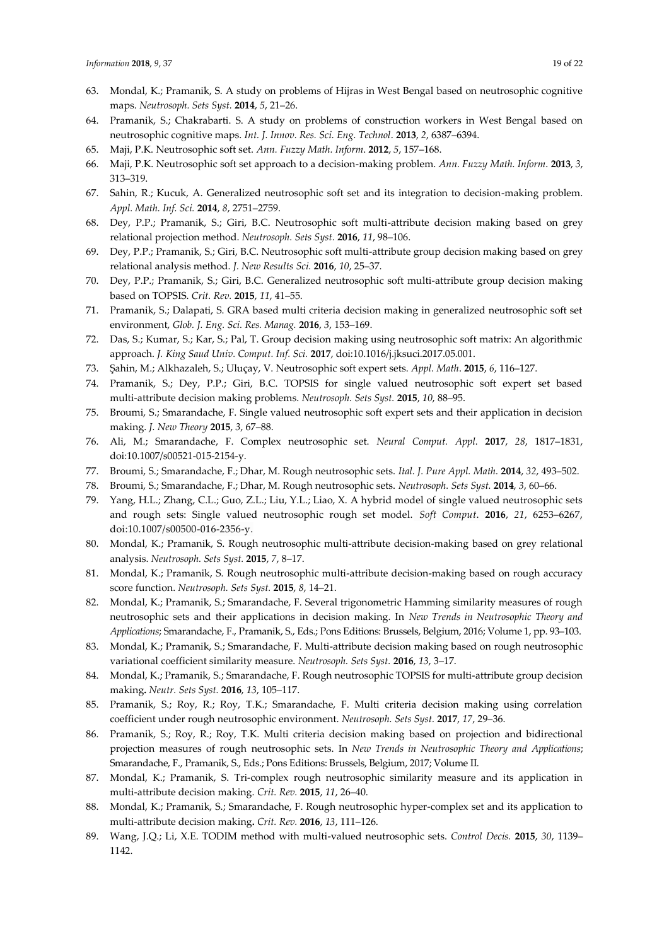- 63. Mondal, K.; Pramanik, S. A study on problems of Hijras in West Bengal based on neutrosophic cognitive maps. *Neutrosoph. Sets Syst.* **2014**, *5*, 21–26.
- 64. Pramanik, S.; Chakrabarti. S. A study on problems of construction workers in West Bengal based on neutrosophic cognitive maps. *Int. J. Innov. Res. Sci. Eng. Technol*. **2013**, *2*, 6387–6394.
- 65. Maji, P.K. Neutrosophic soft set. *Ann. Fuzzy Math. Inform*. **2012**, *5*, 157–168.
- 66. Maji, P.K. Neutrosophic soft set approach to a decision-making problem. *Ann. Fuzzy Math. Inform*. **2013**, *3*, 313–319.
- 67. Sahin, R.; Kucuk, A. Generalized neutrosophic soft set and its integration to decision-making problem. *Appl. Math. Inf. Sci.* **2014**, *8*, 2751–2759.
- 68. Dey, P.P.; Pramanik, S.; Giri, B.C. Neutrosophic soft multi-attribute decision making based on grey relational projection method. *Neutrosoph. Sets Syst.* **2016**, *11*, 98–106.
- 69. Dey, P.P.; Pramanik, S.; Giri, B.C. Neutrosophic soft multi-attribute group decision making based on grey relational analysis method. *J. New Results Sci.* **2016**, *10*, 25–37.
- 70. Dey, P.P.; Pramanik, S.; Giri, B.C. Generalized neutrosophic soft multi-attribute group decision making based on TOPSIS. *Crit. Rev.* **2015**, *11*, 41–55.
- 71. Pramanik, S.; Dalapati, S. GRA based multi criteria decision making in generalized neutrosophic soft set environment, *Glob. J. Eng. Sci. Res. Manag.* **2016**, *3*, 153–169.
- 72. Das, S.; Kumar, S.; Kar, S.; Pal, T. Group decision making using neutrosophic soft matrix: An algorithmic approach. *J. King Saud Univ. Comput. Inf. Sci.* **2017**, doi:10.1016/j.jksuci.2017.05.001.
- 73. Şahin, M.; Alkhazaleh, S.; Uluçay, V. Neutrosophic soft expert sets. *Appl. Math*. **2015**, *6*, 116–127.
- 74. Pramanik, S.; Dey, P.P.; Giri, B.C. TOPSIS for single valued neutrosophic soft expert set based multi-attribute decision making problems. *Neutrosoph. Sets Syst.* **2015**, *10*, 88–95.
- 75. Broumi, S.; Smarandache, F. Single valued neutrosophic soft expert sets and their application in decision making. *J. New Theory* **2015**, *3*, 67–88.
- 76. Ali, M.; Smarandache, F. Complex neutrosophic set. *Neural Comput. Appl.* **2017**, *28*, 1817–1831, doi:10.1007/s00521-015-2154-y.
- 77. Broumi, S.; Smarandache, F.; Dhar, M. Rough neutrosophic sets. *Ital. J. Pure Appl. Math.* **2014**, *32*, 493–502.
- 78. Broumi, S.; Smarandache, F.; Dhar, M. Rough neutrosophic sets. *Neutrosoph. Sets Syst.* **2014**, *3*, 60–66.
- 79. Yang, H.L.; Zhang, C.L.; Guo, Z.L.; Liu, Y.L.; Liao, X. A hybrid model of single valued neutrosophic sets and rough sets: Single valued neutrosophic rough set model. *Soft Comput*. **2016**, *21*, 6253–6267, doi:10.1007/s00500-016-2356-y.
- 80. Mondal, K.; Pramanik, S. Rough neutrosophic multi-attribute decision-making based on grey relational analysis. *Neutrosoph. Sets Syst.* **2015**, *7*, 8–17.
- 81. Mondal, K.; Pramanik, S. Rough neutrosophic multi-attribute decision-making based on rough accuracy score function. *Neutrosoph. Sets Syst.* **2015**, *8*, 14–21.
- 82. Mondal, K.; Pramanik, S.; Smarandache, F. Several trigonometric Hamming similarity measures of rough neutrosophic sets and their applications in decision making. In *New Trends in Neutrosophic Theory and Applications*; Smarandache, F., Pramanik, S., Eds.; Pons Editions: Brussels, Belgium, 2016; Volume 1, pp. 93–103.
- 83. Mondal, K.; Pramanik, S.; Smarandache, F. Multi-attribute decision making based on rough neutrosophic variational coefficient similarity measure. *Neutrosoph. Sets Syst.* **2016**, *13*, 3–17.
- 84. Mondal, K.; Pramanik, S.; Smarandache, F. Rough neutrosophic TOPSIS for multi-attribute group decision making**.** *Neutr. Sets Syst.* **2016**, *13*, 105–117.
- 85. Pramanik, S.; Roy, R.; Roy, T.K.; Smarandache, F. Multi criteria decision making using correlation coefficient under rough neutrosophic environment. *Neutrosoph. Sets Syst.* **2017**, *17*, 29–36.
- 86. Pramanik, S.; Roy, R.; Roy, T.K. Multi criteria decision making based on projection and bidirectional projection measures of rough neutrosophic sets. In *New Trends in Neutrosophic Theory and Applications*; Smarandache, F., Pramanik, S., Eds.; Pons Editions: Brussels, Belgium, 2017; Volume II.
- 87. Mondal, K.; Pramanik, S. Tri-complex rough neutrosophic similarity measure and its application in multi-attribute decision making. *Crit. Rev.* **2015**, *11*, 26–40.
- 88. Mondal, K.; Pramanik, S.; Smarandache, F. Rough neutrosophic hyper-complex set and its application to multi-attribute decision making**.** *Crit. Rev.* **2016**, *13*, 111–126.
- 89. Wang, J.Q.; Li, X.E. TODIM method with multi-valued neutrosophic sets. *Control Decis.* **2015**, *30*, 1139– 1142.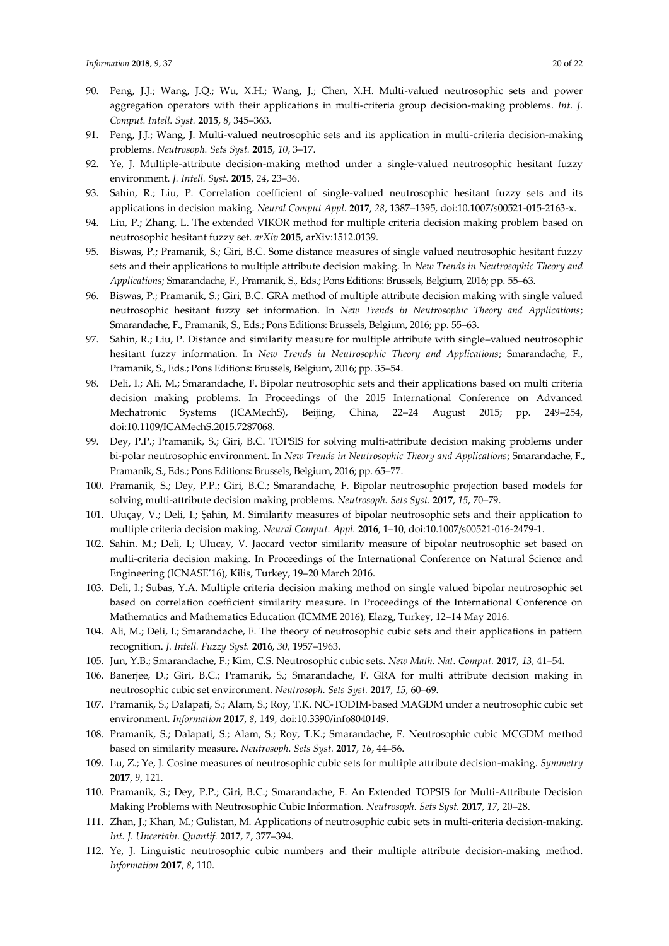- 90. Peng, J.J.; Wang, J.Q.; Wu, X.H.; Wang, J.; Chen, X.H. Multi-valued neutrosophic sets and power aggregation operators with their applications in multi-criteria group decision-making problems. *Int. J. Comput. Intell. Syst.* **2015**, *8*, 345–363.
- 91. Peng, J.J.; Wang, J. Multi-valued neutrosophic sets and its application in multi-criteria decision-making problems. *Neutrosoph. Sets Syst.* **2015**, *10*, 3–17.
- 92. Ye, J. Multiple-attribute decision-making method under a single-valued neutrosophic hesitant fuzzy environment. *J. Intell. Syst.* **2015**, *24*, 23–36.
- 93. Sahin, R.; Liu, P. Correlation coefficient of single-valued neutrosophic hesitant fuzzy sets and its applications in decision making. *Neural Comput Appl.* **2017**, *28*, 1387–1395, doi:10.1007/s00521-015-2163-x.
- 94. Liu, P.; Zhang, L. The extended VIKOR method for multiple criteria decision making problem based on neutrosophic hesitant fuzzy set. *arXiv* **2015**, arXiv:1512.0139.
- 95. Biswas, P.; Pramanik, S.; Giri, B.C. Some distance measures of single valued neutrosophic hesitant fuzzy sets and their applications to multiple attribute decision making. In *New Trends in Neutrosophic Theory and Applications*; Smarandache, F., Pramanik, S., Eds.; Pons Editions: Brussels, Belgium, 2016; pp. 55–63.
- 96. Biswas, P.; Pramanik, S.; Giri, B.C. GRA method of multiple attribute decision making with single valued neutrosophic hesitant fuzzy set information. In *New Trends in Neutrosophic Theory and Applications*; Smarandache, F., Pramanik, S., Eds.; Pons Editions: Brussels, Belgium, 2016; pp. 55–63.
- 97. Sahin, R.; Liu, P. Distance and similarity measure for multiple attribute with single–valued neutrosophic hesitant fuzzy information. In *New Trends in Neutrosophic Theory and Applications*; Smarandache, F., Pramanik, S., Eds.; Pons Editions: Brussels, Belgium, 2016; pp. 35–54.
- 98. Deli, I.; Ali, M.; Smarandache, F. Bipolar neutrosophic sets and their applications based on multi criteria decision making problems. In Proceedings of the 2015 International Conference on Advanced Mechatronic Systems (ICAMechS), Beijing, China, 22–24 August 2015; pp. 249–254, doi:10.1109/ICAMechS.2015.7287068.
- 99. Dey, P.P.; Pramanik, S.; Giri, B.C. TOPSIS for solving multi-attribute decision making problems under bi-polar neutrosophic environment. In *New Trends in Neutrosophic Theory and Applications*; Smarandache, F., Pramanik, S., Eds.; Pons Editions: Brussels, Belgium, 2016; pp. 65–77.
- 100. Pramanik, S.; Dey, P.P.; Giri, B.C.; Smarandache, F. Bipolar neutrosophic projection based models for solving multi-attribute decision making problems. *Neutrosoph. Sets Syst.* **2017**, *15*, 70–79.
- 101. Uluçay, V.; Deli, I.; Şahin, M. Similarity measures of bipolar neutrosophic sets and their application to multiple criteria decision making. *Neural Comput. Appl.* **2016**, 1–10, doi:10.1007/s00521-016-2479-1.
- 102. Sahin. M.; Deli, I.; Ulucay, V. Jaccard vector similarity measure of bipolar neutrosophic set based on multi-criteria decision making. In Proceedings of the International Conference on Natural Science and Engineering (ICNASE'16), Kilis, Turkey, 19–20 March 2016.
- 103. Deli, I.; Subas, Y.A. Multiple criteria decision making method on single valued bipolar neutrosophic set based on correlation coefficient similarity measure. In Proceedings of the International Conference on Mathematics and Mathematics Education (ICMME 2016), Elazg, Turkey, 12–14 May 2016.
- 104. Ali, M.; Deli, I.; Smarandache, F. The theory of neutrosophic cubic sets and their applications in pattern recognition. *J. Intell. Fuzzy Syst.* **2016**, *30*, 1957–1963.
- 105. Jun, Y.B.; Smarandache, F.; Kim, C.S. Neutrosophic cubic sets. *New Math. Nat. Comput.* **2017**, *13*, 41–54.
- 106. Banerjee, D.; Giri, B.C.; Pramanik, S.; Smarandache, F. GRA for multi attribute decision making in neutrosophic cubic set environment. *Neutrosoph. Sets Syst.* **2017**, *15*, 60–69.
- 107. Pramanik, S.; Dalapati, S.; Alam, S.; Roy, T.K. NC-TODIM-based MAGDM under a neutrosophic cubic set environment. *Information* **2017**, *8*, 149, doi:10.3390/info8040149.
- 108. Pramanik, S.; Dalapati, S.; Alam, S.; Roy, T.K.; Smarandache, F. Neutrosophic cubic MCGDM method based on similarity measure. *Neutrosoph. Sets Syst.* **2017**, *16*, 44–56.
- 109. Lu, Z.; Ye, J. Cosine measures of neutrosophic cubic sets for multiple attribute decision-making. *Symmetry* **2017**, *9*, 121.
- 110. Pramanik, S.; Dey, P.P.; Giri, B.C.; Smarandache, F. An Extended TOPSIS for Multi-Attribute Decision Making Problems with Neutrosophic Cubic Information. *Neutrosoph. Sets Syst.* **2017**, *17*, 20–28.
- 111. Zhan, J.; Khan, M.; Gulistan, M. Applications of neutrosophic cubic sets in multi-criteria decision-making. *Int. J. Uncertain. Quantif.* **2017**, *7*, 377–394.
- 112. Ye, J. Linguistic neutrosophic cubic numbers and their multiple attribute decision-making method. *Information* **2017**, *8*, 110.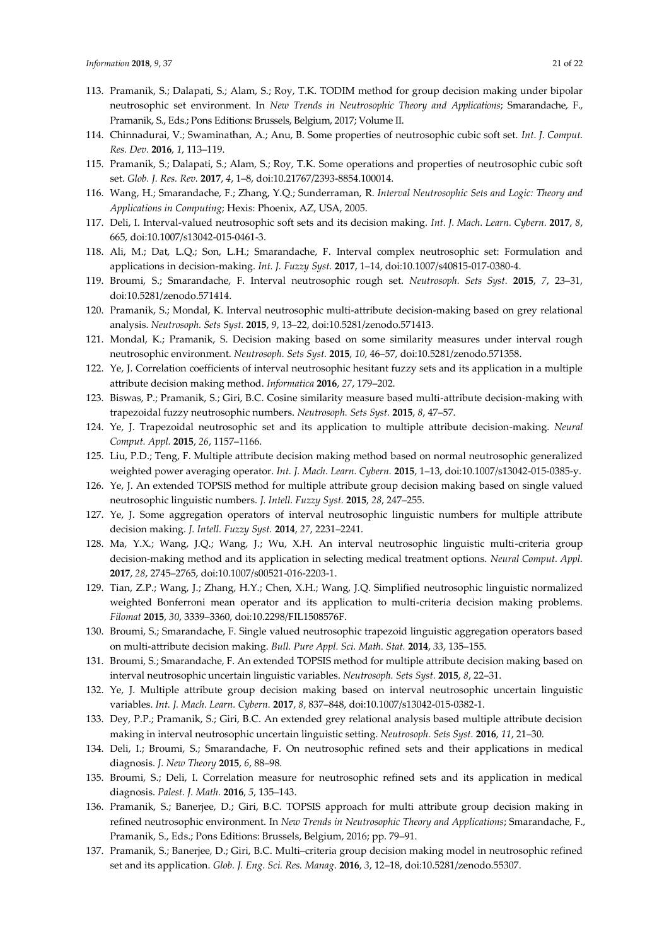- 113. Pramanik, S.; Dalapati, S.; Alam, S.; Roy, T.K. TODIM method for group decision making under bipolar neutrosophic set environment. In *New Trends in Neutrosophic Theory and Applications*; Smarandache, F., Pramanik, S., Eds.; Pons Editions: Brussels, Belgium, 2017; Volume II.
- 114. Chinnadurai, V.; Swaminathan, A.; Anu, B. Some properties of neutrosophic cubic soft set. *Int. J. Comput. Res. Dev.* **2016**, *1*, 113–119.
- 115. Pramanik, S.; Dalapati, S.; Alam, S.; Roy, T.K. Some operations and properties of neutrosophic cubic soft set. *Glob. J. Res. Rev.* **2017**, *4*, 1–8, doi:10.21767/2393-8854.100014.
- 116. Wang, H.; Smarandache, F.; Zhang, Y.Q.; Sunderraman, R. *Interval Neutrosophic Sets and Logic: Theory and Applications in Computing*; Hexis: Phoenix, AZ, USA, 2005.
- 117. Deli, I. Interval-valued neutrosophic soft sets and its decision making. *Int. J. Mach. Learn. Cybern.* **2017**, *8*, 665, doi:10.1007/s13042-015-0461-3.
- 118. Ali, M.; Dat, L.Q.; Son, L.H.; Smarandache, F. Interval complex neutrosophic set: Formulation and applications in decision-making. *Int. J. Fuzzy Syst.* **2017**, 1–14, doi:10.1007/s40815-017-0380-4.
- 119. Broumi, [S.; Smarandache, F. Interval neutrosophic rough set.](http://fs.gallup.unm.edu/nss/IntervalNeutrosophicRoughSet.pdf) *Neutrosoph. Sets Syst.* **2015**, *7*, 23–31, [doi:10.5281/zenodo.571414.](https://doi.org/10.5281/zenodo.571414)
- 120. Pramanik, [S.; Mondal, K. Interval neutrosophic multi-attribute decision-making](http://fs.gallup.unm.edu/nss/IntervalNeutrosophicMultiAttribute.pdf) based on grey relational analysis. *[Neutrosoph. Sets Syst.](http://fs.gallup.unm.edu/nss/IntervalNeutrosophicMultiAttribute.pdf)* **2015**, *9*, 13–22, [doi:10.5281/zenodo.571413.](https://doi.org/10.5281/zenodo.571413)
- 121. Mondal, K.; Pramanik, S. Decision making based on [some similarity measures under interval rough](http://fs.gallup.unm.edu/nss/DecisionMakingBasedOnSomeSimilarityMeasures.pdf)  [neutrosophic environment.](http://fs.gallup.unm.edu/nss/DecisionMakingBasedOnSomeSimilarityMeasures.pdf) *Neutrosoph. Sets Syst.* **2015**, *10*, 46–57, [doi:10.5281/zenodo.571358.](https://doi.org/10.5281/zenodo.571358)
- 122. Ye, J. Correlation coefficients of interval neutrosophic hesitant fuzzy sets and its application in a multiple attribute decision making method. *Informatica* **2016**, *27*, 179–202.
- 123. Biswas, P.; Pramanik, S.; Giri, B.C. Cosine similarity measure based multi-attribute decision-making with trapezoidal fuzzy neutrosophic numbers. *Neutrosoph. Sets Syst.* **2015**, *8*, 47–57.
- 124. Ye, J. Trapezoidal neutrosophic set and its application to multiple attribute decision-making. *Neural Comput. Appl.* **2015**, *26*, 1157–1166.
- 125. Liu, P.D.; Teng, F. Multiple attribute decision making method based on normal neutrosophic generalized weighted power averaging operator. *Int. J. Mach. Learn. Cybern.* **2015**, 1–13, doi:10.1007/s13042-015-0385-y.
- 126. Ye, J. An extended TOPSIS method for multiple attribute group decision making based on single valued neutrosophic linguistic numbers. *J. Intell. Fuzzy Syst.* **2015**, *28*, 247–255.
- 127. Ye, J. Some aggregation operators of interval neutrosophic linguistic numbers for multiple attribute decision making. *J. Intell. Fuzzy Syst.* **2014**, *27*, 2231–2241.
- 128. Ma, Y.X.; Wang, J.Q.; Wang, J.; Wu, X.H. An interval neutrosophic linguistic multi-criteria group decision-making method and its application in selecting medical treatment options. *Neural Comput. Appl.* **2017**, *28*, 2745–2765, doi:10.1007/s00521-016-2203-1.
- 129. Tian, Z.P.; Wang, J.; Zhang, H.Y.; Chen, X.H.; Wang, J.Q. Simplified neutrosophic linguistic normalized weighted Bonferroni mean operator and its application to multi-criteria decision making problems. *Filomat* **2015**, *30*, 3339–3360, doi:10.2298/FIL1508576F.
- 130. Broumi, S.; Smarandache, F. Single valued neutrosophic trapezoid linguistic aggregation operators based on multi-attribute decision making. *Bull. Pure Appl. Sci. Math. Stat.* **2014**, *33*, 135–155.
- 131. Broumi, S.; Smarandache, F. An extended TOPSIS method for multiple attribute decision making based on interval neutrosophic uncertain linguistic variables. *Neutrosoph. Sets Syst.* **2015**, *8*, 22–31.
- 132. Ye, J. Multiple attribute group decision making based on interval neutrosophic uncertain linguistic variables. *Int. J. Mach. Learn. Cybern.* **2017**, *8*, 837–848, doi:10.1007/s13042-015-0382-1.
- 133. Dey, P.P.; Pramanik, S.; Giri, B.C. An extended grey relational analysis based multiple attribute decision making in interval neutrosophic uncertain linguistic setting. *Neutrosoph. Sets Syst.* **2016**, *11*, 21–30.
- 134. Deli, I.; Broumi, S.; Smarandache, F. On neutrosophic refined sets and their applications in medical diagnosis. *J. New Theory* **2015**, *6*, 88–98.
- 135. Broumi, S.; Deli, I. Correlation measure for neutrosophic refined sets and its application in medical diagnosis. *Palest. J. Math.* **2016**, *5*, 135–143.
- 136. Pramanik, S.; Banerjee, D.; Giri, B.C. [TOPSIS approach for multi attribute group decision making in](http://www.gallup.unm.edu/~smarandache/TOPSISApproachForMultiAttribute.pdf)  [refined neutrosophic environment.](http://www.gallup.unm.edu/~smarandache/TOPSISApproachForMultiAttribute.pdf) In *New Trends in Neutrosophic Theory and Applications*; Smarandache, F., Pramanik, S., Eds.; Pons Editions: Brussels, Belgium, 2016; pp. 79–91.
- 137. Pramanik, S.; Banerjee, D.; Giri, B.C. Multi–criteria group decision making model in neutrosophic refined set and its application. *Glob. J. Eng. Sci. Res. Manag*. **2016**, *3*, 12–18, doi:10.5281/zenodo.55307.